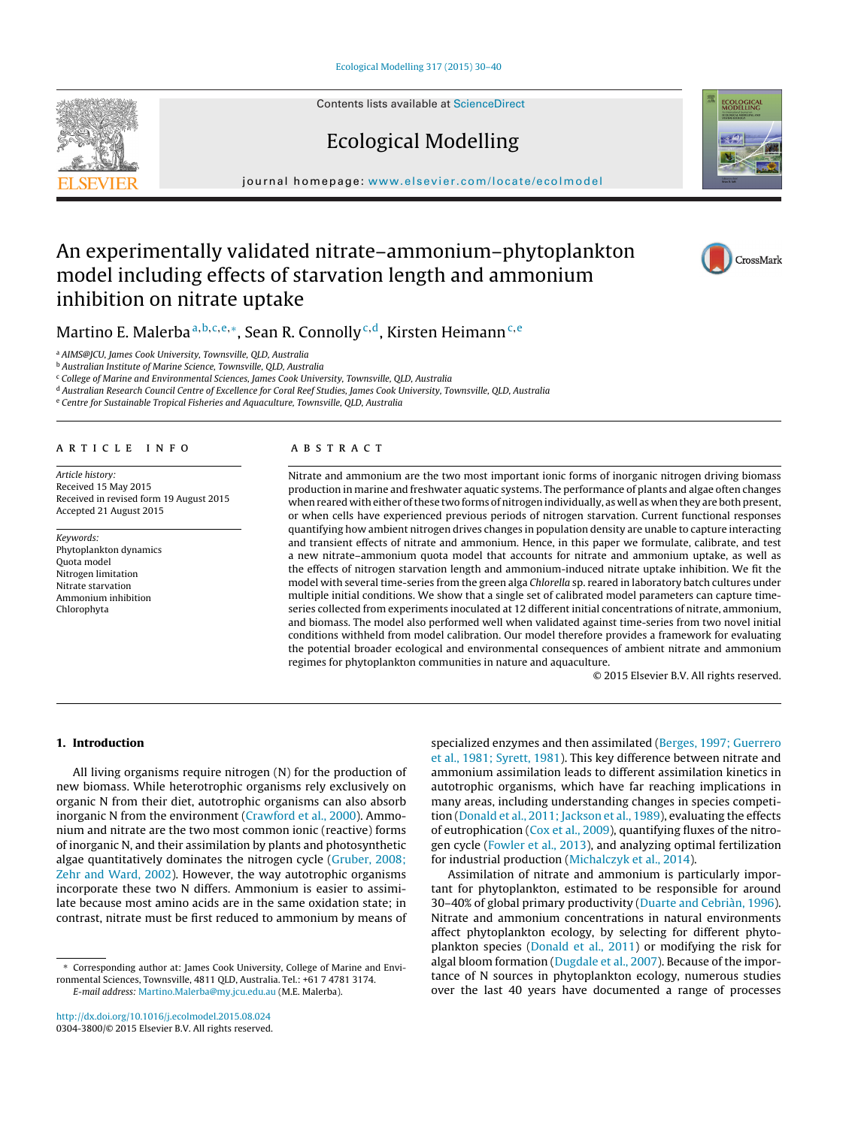Contents lists available at [ScienceDirect](http://www.sciencedirect.com/science/journal/03043800)

# Ecological Modelling

journal homepage: [www.elsevier.com/locate/ecolmodel](http://www.elsevier.com/locate/ecolmodel)

## An experimentally validated nitrate–ammonium–phytoplankton model including effects of starvation length and ammonium inhibition on nitrate uptake

Martino E. Malerba<sup>a,b,c,e,\*</sup>, Sean R. Connolly<sup>c,d</sup>, Kirsten Heimann<sup>c,e</sup>

<sup>a</sup> AIMS@JCU, James Cook University, Townsville, QLD, Australia

<sup>b</sup> Australian Institute of Marine Science, Townsville, QLD, Australia

<sup>c</sup> College of Marine and Environmental Sciences, James Cook University, Townsville, QLD, Australia

<sup>d</sup> Australian Research Council Centre of Excellence for Coral Reef Studies, James Cook University, Townsville, QLD, Australia

<sup>e</sup> Centre for Sustainable Tropical Fisheries and Aquaculture, Townsville, QLD, Australia

## a r t i c l e i n f o

Article history: Received 15 May 2015 Received in revised form 19 August 2015 Accepted 21 August 2015

Keywords: Phytoplankton dynamics Quota model Nitrogen limitation Nitrate starvation Ammonium inhibition Chlorophyta

## A B S T R A C T

Nitrate and ammonium are the two most important ionic forms of inorganic nitrogen driving biomass production in marine and freshwater aquatic systems. The performance of plants and algae often changes when reared with either ofthese two forms of nitrogen individually, as well as when they are both present, or when cells have experienced previous periods of nitrogen starvation. Current functional responses quantifying how ambient nitrogen drives changes in population density are unable to capture interacting and transient effects of nitrate and ammonium. Hence, in this paper we formulate, calibrate, and test a new nitrate–ammonium quota model that accounts for nitrate and ammonium uptake, as well as the effects of nitrogen starvation length and ammonium-induced nitrate uptake inhibition. We fit the model with several time-series from the green alga Chlorella sp. reared in laboratory batch cultures under multiple initial conditions. We show that a single set of calibrated model parameters can capture timeseries collected from experiments inoculated at 12 different initial concentrations of nitrate, ammonium, and biomass. The model also performed well when validated against time-series from two novel initial conditions withheld from model calibration. Our model therefore provides a framework for evaluating the potential broader ecological and environmental consequences of ambient nitrate and ammonium regimes for phytoplankton communities in nature and aquaculture.

© 2015 Elsevier B.V. All rights reserved.

#### **1. Introduction**

All living organisms require nitrogen (N) for the production of new biomass. While heterotrophic organisms rely exclusively on organic N from their diet, autotrophic organisms can also absorb inorganic N from the environment [\(Crawford](#page-9-0) et [al.,](#page-9-0) [2000\).](#page-9-0) Ammonium and nitrate are the two most common ionic (reactive) forms of inorganic N, and their assimilation by plants and photosynthetic algae quantitatively dominates the nitrogen cycle ([Gruber,](#page-9-0) [2008;](#page-9-0) [Zehr](#page-9-0) [and](#page-9-0) [Ward,](#page-9-0) [2002\).](#page-9-0) However, the way autotrophic organisms incorporate these two N differs. Ammonium is easier to assimilate because most amino acids are in the same oxidation state; in contrast, nitrate must be first reduced to ammonium by means of et [al.,](#page-9-0) [1981;](#page-9-0) [Syrett,](#page-9-0) [1981\).](#page-9-0) This key difference between nitrate and ammonium assimilation leads to different assimilation kinetics in autotrophic organisms, which have far reaching implications in many areas, including understanding changes in species competition [\(Donald](#page-9-0) et [al.,](#page-9-0) [2011;](#page-9-0) [Jackson](#page-9-0) et [al.,](#page-9-0) [1989\),](#page-9-0) evaluating the effects of eutrophication [\(Cox](#page-9-0) et [al.,](#page-9-0) [2009\),](#page-9-0) quantifying fluxes of the nitrogen cycle [\(Fowler](#page-9-0) et [al.,](#page-9-0) [2013\),](#page-9-0) and analyzing optimal fertilization for industrial production ([Michalczyk](#page-10-0) et [al.,](#page-10-0) [2014\).](#page-10-0) Assimilation of nitrate and ammonium is particularly impor-

specialized enzymes and then assimilated [\(Berges,](#page-9-0) [1997;](#page-9-0) [Guerrero](#page-9-0)

tant for phytoplankton, estimated to be responsible for around 30–40% of global primary productivity ([Duarte](#page-9-0) [and](#page-9-0) [Cebriàn,](#page-9-0) [1996\).](#page-9-0) Nitrate and ammonium concentrations in natural environments affect phytoplankton ecology, by selecting for different phytoplankton species [\(Donald](#page-9-0) et [al.,](#page-9-0) [2011\)](#page-9-0) or modifying the risk for algal bloom formation [\(Dugdale](#page-9-0) et [al.,](#page-9-0) [2007\).](#page-9-0) Because of the importance of N sources in phytoplankton ecology, numerous studies over the last 40 years have documented a range of processes







<sup>∗</sup> Corresponding author at: James Cook University, College of Marine and Environmental Sciences, Townsville, 4811 QLD, Australia. Tel.: +61 7 4781 3174. E-mail address: [Martino.Malerba@my.jcu.edu.au](mailto:Martino.Malerba@my.jcu.edu.au) (M.E. Malerba).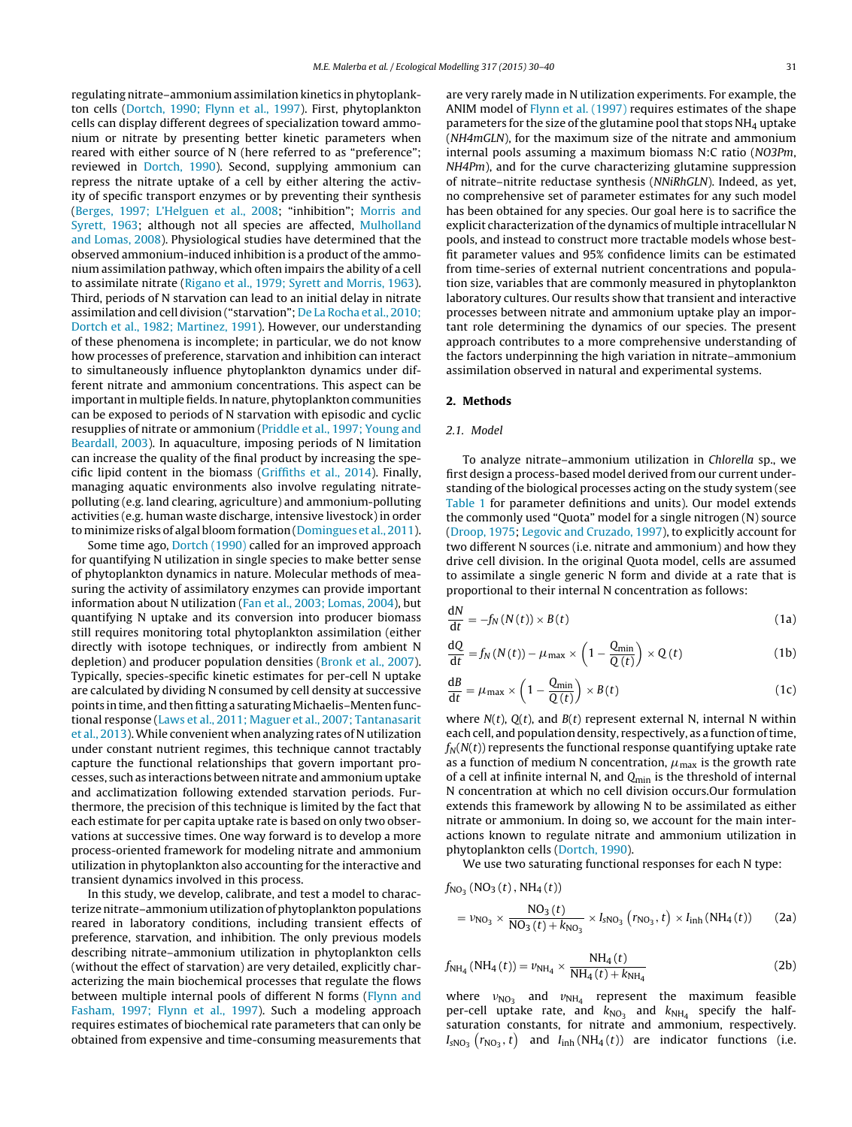<span id="page-1-0"></span>regulating nitrate–ammonium assimilation kinetics in phytoplankton cells [\(Dortch,](#page-9-0) [1990;](#page-9-0) [Flynn](#page-9-0) et [al.,](#page-9-0) [1997\).](#page-9-0) First, phytoplankton cells can display different degrees of specialization toward ammonium or nitrate by presenting better kinetic parameters when reared with either source of N (here referred to as "preference"; reviewed in [Dortch,](#page-9-0) [1990\).](#page-9-0) Second, supplying ammonium can repress the nitrate uptake of a cell by either altering the activity of specific transport enzymes or by preventing their synthesis ([Berges,](#page-9-0) [1997;](#page-9-0) [L'Helguen](#page-9-0) et [al.,](#page-9-0) [2008;](#page-9-0) "inhibition"; [Morris](#page-10-0) [and](#page-10-0) [Syrett,](#page-10-0) [1963;](#page-10-0) although not all species are affected, [Mulholland](#page-10-0) [and](#page-10-0) [Lomas,](#page-10-0) [2008\).](#page-10-0) Physiological studies have determined that the observed ammonium-induced inhibition is a product of the ammonium assimilation pathway, which often impairs the ability of a cell to assimilate nitrate [\(Rigano](#page-10-0) et [al.,](#page-10-0) [1979;](#page-10-0) [Syrett](#page-10-0) [and](#page-10-0) [Morris,](#page-10-0) [1963\).](#page-10-0) Third, periods of N starvation can lead to an initial delay in nitrate assimilation and cell division ("starvation"; [De](#page-9-0) [La](#page-9-0) [Rocha](#page-9-0) et [al.,](#page-9-0) [2010;](#page-9-0) [Dortch](#page-9-0) et [al.,](#page-9-0) [1982;](#page-9-0) [Martinez,](#page-9-0) [1991\).](#page-9-0) However, our understanding of these phenomena is incomplete; in particular, we do not know how processes of preference, starvation and inhibition can interact to simultaneously influence phytoplankton dynamics under different nitrate and ammonium concentrations. This aspect can be important in multiple fields. In nature, phytoplankton communities can be exposed to periods of N starvation with episodic and cyclic resupplies of nitrate or ammonium ([Priddle](#page-10-0) et [al.,](#page-10-0) [1997;](#page-10-0) [Young](#page-10-0) [and](#page-10-0) [Beardall,](#page-10-0) [2003\).](#page-10-0) In aquaculture, imposing periods of N limitation can increase the quality of the final product by increasing the specific lipid content in the biomass ([Griffiths](#page-9-0) et [al.,](#page-9-0) [2014\).](#page-9-0) Finally, managing aquatic environments also involve regulating nitratepolluting (e.g. land clearing, agriculture) and ammonium-polluting activities (e.g. human waste discharge, intensive livestock) in order to minimize risks of algal bloom formation ([Domingues](#page-9-0) et [al.,](#page-9-0) [2011\).](#page-9-0)

Some time ago, [Dortch](#page-9-0) [\(1990\)](#page-9-0) called for an improved approach for quantifying N utilization in single species to make better sense of phytoplankton dynamics in nature. Molecular methods of measuring the activity of assimilatory enzymes can provide important information about N utilization [\(Fan](#page-9-0) et [al.,](#page-9-0) [2003;](#page-9-0) [Lomas,](#page-9-0) [2004\),](#page-9-0) but quantifying N uptake and its conversion into producer biomass still requires monitoring total phytoplankton assimilation (either directly with isotope techniques, or indirectly from ambient N depletion) and producer population densities [\(Bronk](#page-9-0) et [al.,](#page-9-0) [2007\).](#page-9-0) Typically, species-specific kinetic estimates for per-cell N uptake are calculated by dividing N consumed by cell density at successive points in time, and then fitting a saturating Michaelis-Menten functional response [\(Laws](#page-9-0) et [al.,](#page-9-0) [2011;](#page-9-0) [Maguer](#page-9-0) et [al.,](#page-9-0) [2007;](#page-9-0) [Tantanasarit](#page-9-0) et [al.,](#page-9-0) [2013\).](#page-9-0)While convenient when analyzing rates of N utilization under constant nutrient regimes, this technique cannot tractably capture the functional relationships that govern important processes, such as interactions between nitrate and ammonium uptake and acclimatization following extended starvation periods. Furthermore, the precision of this technique is limited by the fact that each estimate for per capita uptake rate is based on only two observations at successive times. One way forward is to develop a more process-oriented framework for modeling nitrate and ammonium utilization in phytoplankton also accounting for the interactive and transient dynamics involved in this process.

In this study, we develop, calibrate, and test a model to characterize nitrate–ammonium utilization of phytoplankton populations reared in laboratory conditions, including transient effects of preference, starvation, and inhibition. The only previous models describing nitrate–ammonium utilization in phytoplankton cells (without the effect of starvation) are very detailed, explicitly characterizing the main biochemical processes that regulate the flows between multiple internal pools of different N forms ([Flynn](#page-9-0) [and](#page-9-0) [Fasham,](#page-9-0) [1997;](#page-9-0) [Flynn](#page-9-0) et [al.,](#page-9-0) [1997\).](#page-9-0) Such a modeling approach requires estimates of biochemical rate parameters that can only be obtained from expensive and time-consuming measurements that are very rarely made in N utilization experiments. For example, the ANIM model of [Flynn](#page-9-0) et [al.](#page-9-0) [\(1997\)](#page-9-0) requires estimates of the shape parameters for the size of the glutamine pool that stops  $NH<sub>4</sub>$  uptake (NH4mGLN), for the maximum size of the nitrate and ammonium internal pools assuming a maximum biomass N:C ratio (NO3Pm, NH4Pm), and for the curve characterizing glutamine suppression of nitrate–nitrite reductase synthesis (NNiRhGLN). Indeed, as yet, no comprehensive set of parameter estimates for any such model has been obtained for any species. Our goal here is to sacrifice the explicit characterization ofthe dynamics of multiple intracellular N pools, and instead to construct more tractable models whose bestfit parameter values and 95% confidence limits can be estimated from time-series of external nutrient concentrations and population size, variables that are commonly measured in phytoplankton laboratory cultures. Our results show that transient and interactive processes between nitrate and ammonium uptake play an important role determining the dynamics of our species. The present approach contributes to a more comprehensive understanding of the factors underpinning the high variation in nitrate–ammonium assimilation observed in natural and experimental systems.

#### **2. Methods**

## 2.1. Model

da k

To analyze nitrate–ammonium utilization in Chlorella sp., we first design a process-based model derived from our current understanding of the biological processes acting on the study system (see [Table](#page-2-0) 1 for parameter definitions and units). Our model extends the commonly used "Quota" model for a single nitrogen (N) source [\(Droop,](#page-9-0) [1975;](#page-9-0) [Legovic](#page-9-0) [and](#page-9-0) [Cruzado,](#page-9-0) [1997\),](#page-9-0) to explicitly account for two different N sources (i.e. nitrate and ammonium) and how they drive cell division. In the original Quota model, cells are assumed to assimilate a single generic N form and divide at a rate that is proportional to their internal N concentration as follows:

$$
\frac{dN}{dt} = -f_N(N(t)) \times B(t)
$$
 (1a)

$$
\frac{dQ}{dt} = f_N(N(t)) - \mu_{\text{max}} \times \left(1 - \frac{Q_{\text{min}}}{Q(t)}\right) \times Q(t)
$$
 (1b)

$$
\frac{\text{dB}}{\text{dt}} = \mu_{\text{max}} \times \left(1 - \frac{Q_{\text{min}}}{Q(t)}\right) \times B(t) \tag{1c}
$$

where  $N(t)$ ,  $Q(t)$ , and  $B(t)$  represent external N, internal N within each cell, and population density, respectively, as a function of time,  $f_N(N(t))$  represents the functional response quantifying uptake rate as a function of medium N concentration,  $\mu_{\text{max}}$  is the growth rate of a cell at infinite internal N, and  $Q_{min}$  is the threshold of internal N concentration at which no cell division occurs.Our formulation extends this framework by allowing N to be assimilated as either nitrate or ammonium. In doing so, we account for the main interactions known to regulate nitrate and ammonium utilization in phytoplankton cells ([Dortch,](#page-9-0) [1990\).](#page-9-0)

We use two saturating functional responses for each N type:

$$
f_{NO_3} (NO_3(t), NH_4(t))
$$
  
=  $v_{NO_3} \times \frac{NO_3(t)}{NO_3(t) + k_{NO_3}} \times I_{sNO_3} (r_{NO_3}, t) \times I_{inh} (NH_4(t))$  (2a)

$$
f_{\text{NH}_4}(\text{NH}_4(t)) = \nu_{\text{NH}_4} \times \frac{\text{NH}_4(t)}{\text{NH}_4(t) + k_{\text{NH}_4}} \tag{2b}
$$

where  $v_{NO_3}$  and  $v_{NH_4}$  represent the maximum feasible per-cell uptake rate, and  $k_{NO_3}$  and  $k_{NH_4}$  specify the halfsaturation constants, for nitrate and ammonium, respectively.  $I_{sNO_3}$   $(r_{NO_3}, t)$  and  $I_{\text{inh}}(NH_4(t))$  are indicator functions (i.e.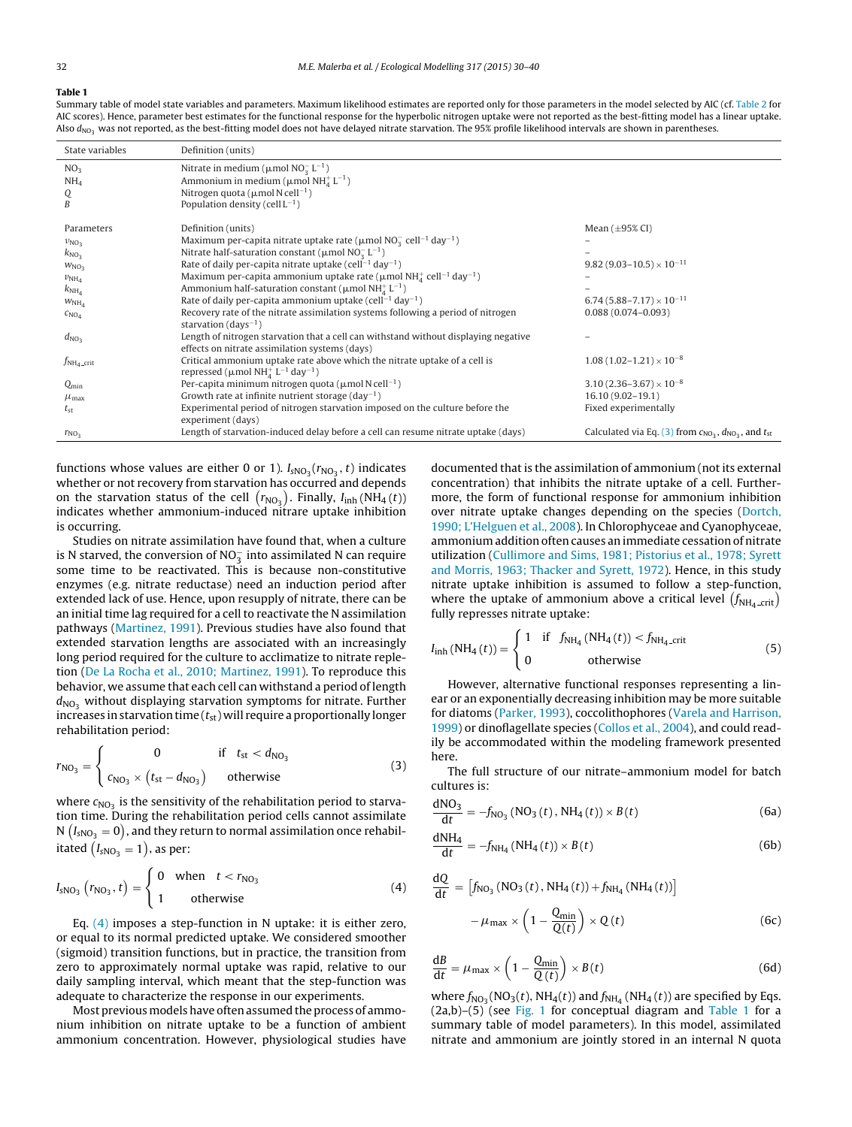#### <span id="page-2-0"></span>**Table 1**

Summary table of model state variables and parameters. Maximum likelihood estimates are reported only for those parameters in the model selected by AIC (cf. [Table](#page-7-0) 2 for AIC scores). Hence, parameter best estimates for the functional response for the hyperbolic nitrogen uptake were not reported as the best-fitting model has a linear uptake. Also  $d_{NO_3}$  was not reported, as the best-fitting model does not have delayed nitrate starvation. The 95% profile likelihood intervals are shown in parentheses.

| State variables                    | Definition (units)                                                                                                                               |                                                                    |
|------------------------------------|--------------------------------------------------------------------------------------------------------------------------------------------------|--------------------------------------------------------------------|
| NO <sub>3</sub><br>NH <sub>4</sub> | Nitrate in medium ( $\mu$ mol NO <sub>3</sub> L <sup>-1</sup> )<br>Ammonium in medium ( $\mu$ mol NH $^{+}_{4}$ L <sup>-1</sup> )                |                                                                    |
| Q                                  | Nitrogen quota ( $\mu$ mol N cell <sup>-1</sup> )                                                                                                |                                                                    |
| B                                  | Population density (cell $L^{-1}$ )                                                                                                              |                                                                    |
|                                    |                                                                                                                                                  |                                                                    |
| Parameters                         | Definition (units)                                                                                                                               | Mean $(\pm 95\%$ CI)                                               |
| $v_{NO3}$                          | Maximum per-capita nitrate uptake rate ( $\mu$ mol NO <sub>3</sub> cell <sup>-1</sup> day <sup>-1</sup> )                                        |                                                                    |
| $k_{NO_3}$                         | Nitrate half-saturation constant ( $\mu$ mol NO <sub>7</sub> L <sup>-1</sup> )                                                                   |                                                                    |
| W <sub>NO<sub>3</sub></sub>        | Rate of daily per-capita nitrate uptake (cell <sup>-1</sup> day <sup>-1</sup> )                                                                  | 9.82 (9.03–10.5) $\times$ 10 <sup>-11</sup>                        |
| $v_{\text{NH}_4}$                  | Maximum per-capita ammonium uptake rate ( $\mu$ mol NH $_A^+$ cell <sup>-1</sup> day <sup>-1</sup> )                                             |                                                                    |
| $k_{\text{NH}_4}$                  | Ammonium half-saturation constant ( $\mu$ mol NH $^{+}_{4}$ L <sup>-1</sup> )                                                                    |                                                                    |
| W <sub>NH<sub>4</sub></sub>        | Rate of daily per-capita ammonium uptake (cell <sup>-1</sup> day <sup>-1</sup> )                                                                 | $6.74(5.88 - 7.17) \times 10^{-11}$                                |
| $C_{NO_4}$                         | Recovery rate of the nitrate assimilation systems following a period of nitrogen                                                                 | $0.088(0.074 - 0.093)$                                             |
|                                    | starvation (days <sup>-1</sup> )                                                                                                                 |                                                                    |
| $d_{NO_2}$                         | Length of nitrogen starvation that a cell can withstand without displaying negative                                                              |                                                                    |
|                                    | effects on nitrate assimilation systems (days)                                                                                                   |                                                                    |
| $J_{\rm NH_4\_{crit}}$             | Critical ammonium uptake rate above which the nitrate uptake of a cell is<br>repressed ( $\mu$ mol NH $_A^+$ L <sup>-1</sup> day <sup>-1</sup> ) | $1.08(1.02-1.21)\times10^{-8}$                                     |
| $Q_{\text{min}}$                   | Per-capita minimum nitrogen quota ( $\mu$ mol N cell <sup>-1</sup> )                                                                             | $3.10(2.36-3.67)\times10^{-8}$                                     |
| $\mu_{\text{max}}$                 | Growth rate at infinite nutrient storage $(\text{day}^{-1})$                                                                                     | $16.10(9.02 - 19.1)$                                               |
| $t_{\rm st}$                       | Experimental period of nitrogen starvation imposed on the culture before the<br>experiment (days)                                                | Fixed experimentally                                               |
| $r_{NO3}$                          | Length of starvation-induced delay before a cell can resume nitrate uptake (days)                                                                | Calculated via Eq. (3) from $c_{NO_3}$ , $d_{NO_3}$ , and $t_{st}$ |

functions whose values are either 0 or 1).  $I_{sNO_3}(r_{NO_3}, t)$  indicates whether or not recovery from starvation has occurred and depends on the starvation status of the cell  $\left(r_{\text{NO}_3}\right)$ . Finally,  $I_{\text{inh}}(\text{NH}_4\left(t\right))$ indicates whether ammonium-induced nitrare uptake inhibition is occurring.

Studies on nitrate assimilation have found that, when a culture is N starved, the conversion of NO $_3^-$  into assimilated N can require some time to be reactivated. This is because non-constitutive enzymes (e.g. nitrate reductase) need an induction period after extended lack of use. Hence, upon resupply of nitrate, there can be an initial time lag required for a cell to reactivate the N assimilation pathways [\(Martinez,](#page-10-0) [1991\).](#page-10-0) Previous studies have also found that extended starvation lengths are associated with an increasingly long period required for the culture to acclimatize to nitrate repletion ([De](#page-9-0) [La](#page-9-0) [Rocha](#page-9-0) et [al.,](#page-9-0) [2010;](#page-9-0) [Martinez,](#page-9-0) [1991\).](#page-9-0) To reproduce this behavior, we assume that each cell can withstand a period of length  $d_{NO_3}$  without displaying starvation symptoms for nitrate. Further increases in starvation time  $(t<sub>st</sub>)$  will require a proportionally longer rehabilitation period:

$$
r_{\text{NO}_3} = \begin{cases} 0 & \text{if } t_{\text{st}} < d_{\text{NO}_3} \\ c_{\text{NO}_3} \times \left( t_{\text{st}} - d_{\text{NO}_3} \right) & \text{otherwise} \end{cases} \tag{3}
$$

where  $c_{NO_3}$  is the sensitivity of the rehabilitation period to starvation time. During the rehabilitation period cells cannot assimilate N  $\left(I_{\text{\tiny SNO}}\right] = 0\big)$ , and they return to normal assimilation once rehabilitated  $\left(I_{\text{sNO}_3}=1\right)$ , as per:

$$
I_{\rm SNO_3} \left( r_{\rm NO_3}, t \right) = \begin{cases} 0 & \text{when} \quad t < r_{\rm NO_3} \\ 1 & \text{otherwise} \end{cases} \tag{4}
$$

Eq. (4) imposes a step-function in N uptake: it is either zero, or equal to its normal predicted uptake. We considered smoother (sigmoid) transition functions, but in practice, the transition from zero to approximately normal uptake was rapid, relative to our daily sampling interval, which meant that the step-function was adequate to characterize the response in our experiments.

Most previous models have often assumed the process of ammonium inhibition on nitrate uptake to be a function of ambient ammonium concentration. However, physiological studies have documented that is the assimilation of ammonium (not its external concentration) that inhibits the nitrate uptake of a cell. Furthermore, the form of functional response for ammonium inhibition over nitrate uptake changes depending on the species ([Dortch,](#page-9-0) [1990;](#page-9-0) [L'Helguen](#page-9-0) et [al.,](#page-9-0) [2008\).](#page-9-0) In Chlorophyceae and Cyanophyceae, ammonium addition often causes an immediate cessation of nitrate utilization ([Cullimore](#page-9-0) [and](#page-9-0) [Sims,](#page-9-0) [1981;](#page-9-0) [Pistorius](#page-9-0) et [al.,](#page-9-0) [1978;](#page-9-0) [Syrett](#page-9-0) [and](#page-9-0) [Morris,](#page-9-0) [1963;](#page-9-0) [Thacker](#page-9-0) [and](#page-9-0) [Syrett,](#page-9-0) [1972\).](#page-9-0) Hence, in this study nitrate uptake inhibition is assumed to follow a step-function, where the uptake of ammonium above a critical level  $\left(f_{\rm NH_4\_{crit}}\right)$ fully represses nitrate uptake:

$$
I_{\text{inh}}(\text{NH}_4(t)) = \begin{cases} 1 & \text{if } f_{\text{NH}_4}(\text{NH}_4(t)) < f_{\text{NH}_4\text{-crit}} \\ 0 & \text{otherwise} \end{cases} \tag{5}
$$

However, alternative functional responses representing a linear or an exponentially decreasing inhibition may be more suitable for diatoms [\(Parker,](#page-10-0) [1993\),](#page-10-0) coccolithophores [\(Varela](#page-10-0) [and](#page-10-0) [Harrison,](#page-10-0) [1999\)](#page-10-0) or dinoflagellate species [\(Collos](#page-9-0) et [al.,](#page-9-0) [2004\),](#page-9-0) and could readily be accommodated within the modeling framework presented here.

The full structure of our nitrate–ammonium model for batch cultures is:

$$
\frac{dNO_3}{dt} = -f_{NO_3} (NO_3(t), NH_4(t)) \times B(t)
$$
\n(6a)

$$
\frac{dNH_4}{dt} = -f_{NH_4}(NH_4(t)) \times B(t)
$$
\n(6b)

$$
\frac{dQ}{dt} = \left[ f_{NO_3} (NO_3(t), NH_4(t)) + f_{NH_4} (NH_4(t)) \right]
$$

$$
- \mu_{max} \times \left( 1 - \frac{Q_{min}}{Q(t)} \right) \times Q(t)
$$
(6c)

$$
\frac{dB}{dt} = \mu_{\text{max}} \times \left(1 - \frac{Q_{\text{min}}}{Q(t)}\right) \times B(t)
$$
 (6d)

where  $f_{NO_3}(NO_3(t), NH_4(t))$  and  $f_{NH_4}(NH_4(t))$  are specified by Eqs.  $(2a,b)-(5)$  (see [Fig.](#page-3-0) 1 for conceptual diagram and Table 1 for a summary table of model parameters). In this model, assimilated nitrate and ammonium are jointly stored in an internal N quota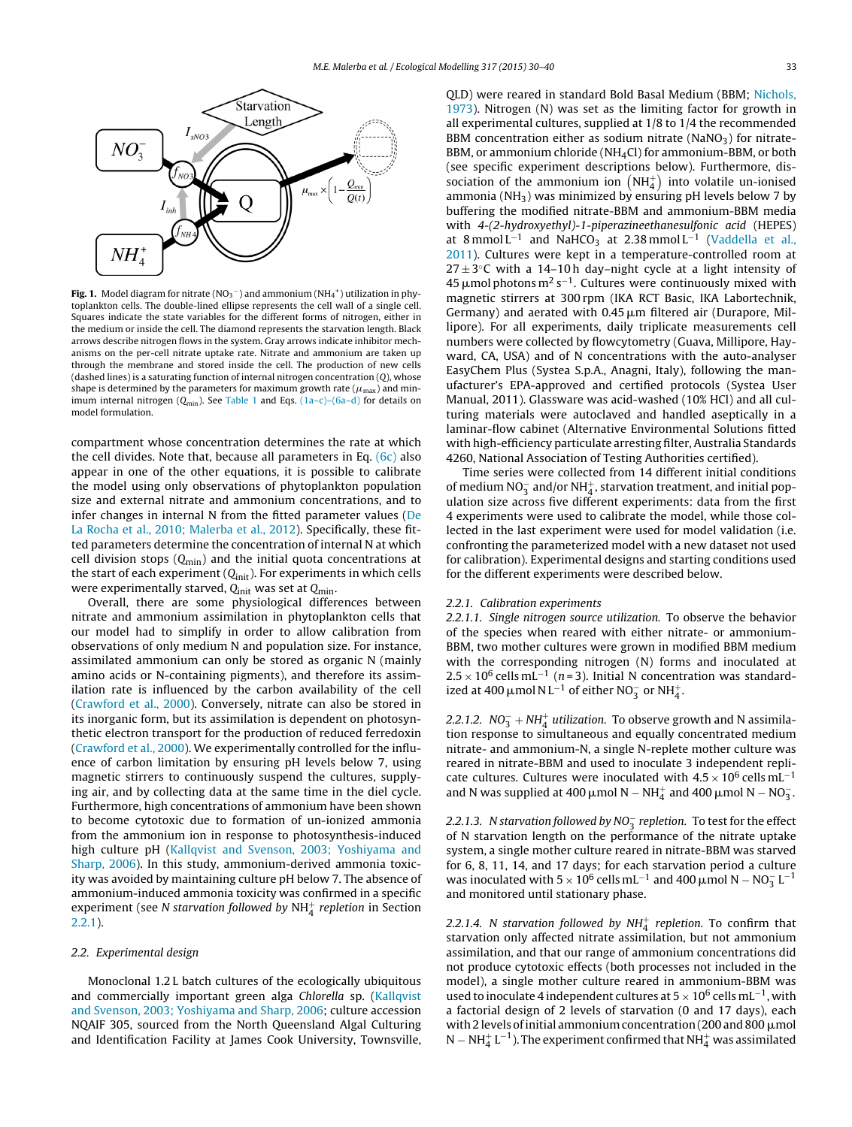<span id="page-3-0"></span>

**Fig. 1.** Model diagram for nitrate (NO<sub>3</sub><sup>-</sup>) and ammonium (NH<sub>4</sub><sup>+</sup>) utilization in phytoplankton cells. The double-lined ellipse represents the cell wall of a single cell. Squares indicate the state variables for the different forms of nitrogen, either in the medium or inside the cell. The diamond represents the starvation length. Black arrows describe nitrogen flows in the system. Gray arrows indicate inhibitor mechanisms on the per-cell nitrate uptake rate. Nitrate and ammonium are taken up through the membrane and stored inside the cell. The production of new cells (dashed lines) is a saturating function of internal nitrogen concentration  $(Q)$ , whose shape is determined by the parameters for maximum growth rate ( $\mu_{\text{max}}$ ) and minimum internal nitrogen  $(Q_{min})$ . See [Table](#page-2-0) 1 and Eqs.  $(1a-c)-(6a-d)$  for details on model formulation.

compartment whose concentration determines the rate at which the cell divides. Note that, because all parameters in Eq. [\(6c\)](#page-2-0) also appear in one of the other equations, it is possible to calibrate the model using only observations of phytoplankton population size and external nitrate and ammonium concentrations, and to infer changes in internal N from the fitted parameter values ([De](#page-9-0) [La](#page-9-0) [Rocha](#page-9-0) et [al.,](#page-9-0) [2010;](#page-9-0) [Malerba](#page-9-0) et [al.,](#page-9-0) [2012\).](#page-9-0) Specifically, these fitted parameters determine the concentration of internal N at which cell division stops  $(Q_{\text{min}})$  and the initial quota concentrations at the start of each experiment  $(Q<sub>init</sub>)$ . For experiments in which cells were experimentally starved,  $Q_{init}$  was set at  $Q_{min}$ .

Overall, there are some physiological differences between nitrate and ammonium assimilation in phytoplankton cells that our model had to simplify in order to allow calibration from observations of only medium N and population size. For instance, assimilated ammonium can only be stored as organic N (mainly amino acids or N-containing pigments), and therefore its assimilation rate is influenced by the carbon availability of the cell ([Crawford](#page-9-0) et [al.,](#page-9-0) [2000\).](#page-9-0) Conversely, nitrate can also be stored in its inorganic form, but its assimilation is dependent on photosynthetic electron transport for the production of reduced ferredoxin ([Crawford](#page-9-0) et [al.,](#page-9-0) [2000\).](#page-9-0) We experimentally controlled for the influence of carbon limitation by ensuring pH levels below 7, using magnetic stirrers to continuously suspend the cultures, supplying air, and by collecting data at the same time in the diel cycle. Furthermore, high concentrations of ammonium have been shown to become cytotoxic due to formation of un-ionized ammonia from the ammonium ion in response to photosynthesis-induced high culture pH ([Kallqvist](#page-9-0) [and](#page-9-0) [Svenson,](#page-9-0) [2003;](#page-9-0) [Yoshiyama](#page-9-0) [and](#page-9-0) [Sharp,](#page-9-0) [2006\).](#page-9-0) In this study, ammonium-derived ammonia toxicity was avoided by maintaining culture pH below 7. The absence of ammonium-induced ammonia toxicity was confirmed in a specific experiment (see N starvation followed by  $\mathrm{NH}_4^+$  repletion in Section 2.2.1).

## 2.2. Experimental design

Monoclonal 1.2 L batch cultures of the ecologically ubiquitous and commercially important green alga Chlorella sp. [\(Kallqvist](#page-9-0) [and](#page-9-0) [Svenson,](#page-9-0) [2003;](#page-9-0) [Yoshiyama](#page-9-0) [and](#page-9-0) [Sharp,](#page-9-0) [2006;](#page-9-0) culture accession NQAIF 305, sourced from the North Queensland Algal Culturing and Identification Facility at James Cook University, Townsville,

QLD) were reared in standard Bold Basal Medium (BBM; [Nichols,](#page-10-0) [1973\).](#page-10-0) Nitrogen (N) was set as the limiting factor for growth in all experimental cultures, supplied at 1/8 to 1/4 the recommended BBM concentration either as sodium nitrate (NaNO<sub>3</sub>) for nitrate-BBM, or ammonium chloride (NH4Cl) for ammonium-BBM, or both (see specific experiment descriptions below). Furthermore, dissociation of the ammonium ion  $(NH_4^+)$  into volatile un-ionised ammonia (NH<sub>3</sub>) was minimized by ensuring pH levels below 7 by buffering the modified nitrate-BBM and ammonium-BBM media with 4-(2-hydroxyethyl)-1-piperazineethanesulfonic acid (HEPES) at 8 mmol L<sup>-1</sup> and NaHCO<sub>3</sub> at 2.38 mmol L<sup>-1</sup> ([Vaddella](#page-10-0) et [al.,](#page-10-0) [2011\).](#page-10-0) Cultures were kept in a temperature-controlled room at  $27 \pm 3$ °C with a 14–10 h day–night cycle at a light intensity of 45 µmol photons m<sup>2</sup> s<sup>-1</sup>. Cultures were continuously mixed with magnetic stirrers at 300 rpm (IKA RCT Basic, IKA Labortechnik, Germany) and aerated with  $0.45 \,\mathrm{\upmu m}$  filtered air (Durapore, Millipore). For all experiments, daily triplicate measurements cell numbers were collected by flowcytometry (Guava, Millipore, Hayward, CA, USA) and of N concentrations with the auto-analyser EasyChem Plus (Systea S.p.A., Anagni, Italy), following the manufacturer's EPA-approved and certified protocols (Systea User Manual, 2011). Glassware was acid-washed (10% HCl) and all culturing materials were autoclaved and handled aseptically in a laminar-flow cabinet (Alternative Environmental Solutions fitted with high-efficiency particulate arresting filter, Australia Standards 4260, National Association of Testing Authorities certified).

Time series were collected from 14 different initial conditions of medium  $NO_3^-$  and/or NH $_4^+$ , starvation treatment, and initial population size across five different experiments: data from the first 4 experiments were used to calibrate the model, while those collected in the last experiment were used for model validation (i.e. confronting the parameterized model with a new dataset not used for calibration). Experimental designs and starting conditions used for the different experiments were described below.

## 2.2.1. Calibration experiments

2.2.1.1. Single nitrogen source utilization. To observe the behavior of the species when reared with either nitrate- or ammonium-BBM, two mother cultures were grown in modified BBM medium with the corresponding nitrogen (N) forms and inoculated at  $2.5 \times 10^6$  cells mL<sup>-1</sup> (n=3). Initial N concentration was standardized at 400  $\mu$ mol N L<sup>-1</sup> of either NO<sub>3</sub> or NH<sup>+</sup><sub>4</sub>.

2.2.1.2.  $NO_3^- + NH_4^+$  utilization. To observe growth and N assimilation response to simultaneous and equally concentrated medium nitrate- and ammonium-N, a single N-replete mother culture was reared in nitrate-BBM and used to inoculate 3 independent replicate cultures. Cultures were inoculated with  $4.5 \times 10^6$  cells mL<sup>-1</sup> and N was supplied at 400  $\mu$ mol N – NH<sup>+</sup> and 400  $\mu$ mol N – NO<sup>-</sup><sub>3</sub>.

2.2.1.3.  $\,$  N starvation followed by NO $_3^-$  repletion. To test for the effect of N starvation length on the performance of the nitrate uptake system, a single mother culture reared in nitrate-BBM was starved for 6, 8, 11, 14, and 17 days; for each starvation period a culture was inoculated with  $5 \times 10^6$  cells mL<sup>-1</sup> and 400  $\mu$ mol N – NO<sub>3</sub> L<sup>-1</sup> and monitored until stationary phase.

2.2.1.4. N starvation followed by  $\mathrm{NH}_4^+$  repletion. To confirm that starvation only affected nitrate assimilation, but not ammonium assimilation, and that our range of ammonium concentrations did not produce cytotoxic effects (both processes not included in the model), a single mother culture reared in ammonium-BBM was used to inoculate 4 independent cultures at  $5 \times 10^6$  cells mL<sup>-1</sup>, with a factorial design of 2 levels of starvation (0 and 17 days), each with 2 levels of initial ammonium concentration (200 and 800  $\mu$ mol  $N - NH_4^+L^{-1}$  ). The experiment confirmed that  $NH_4^+$  was assimilated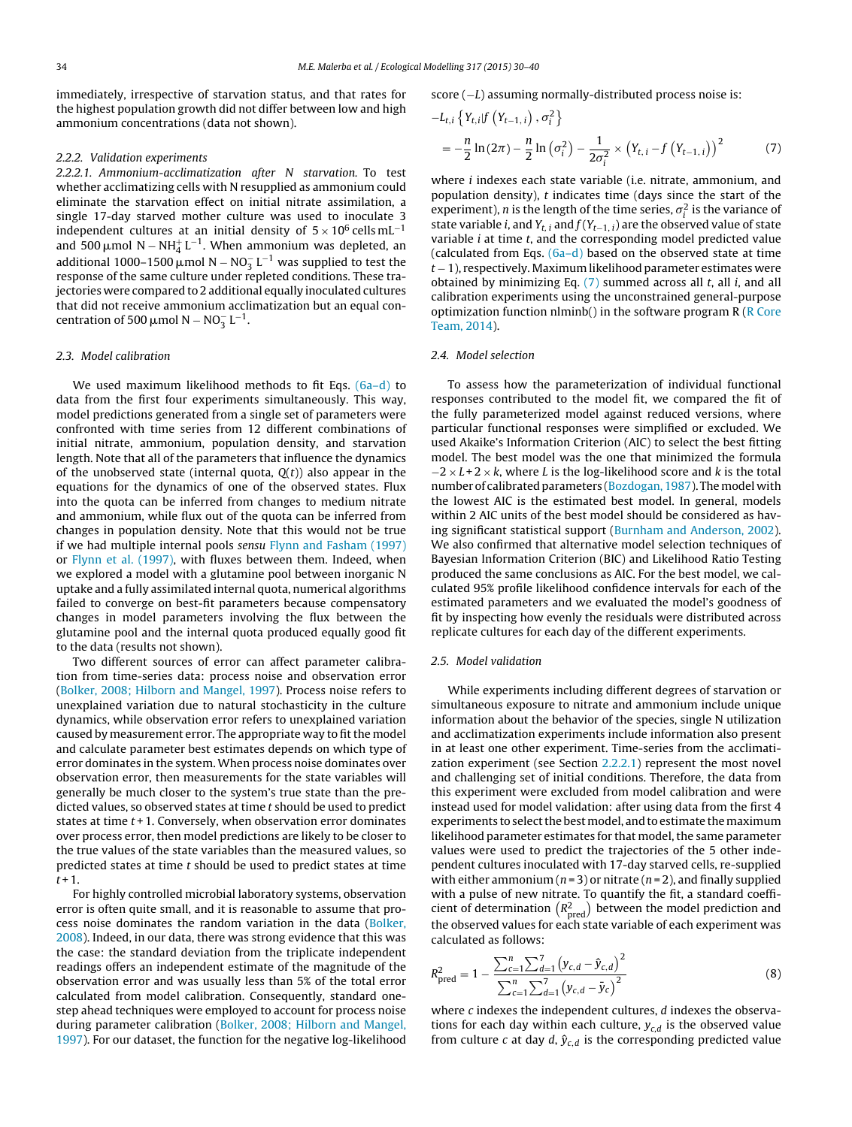<span id="page-4-0"></span>immediately, irrespective of starvation status, and that rates for the highest population growth did not differ between low and high ammonium concentrations (data not shown).

#### 2.2.2. Validation experiments

2.2.2.1. Ammonium-acclimatization after N starvation. To test whether acclimatizing cells with N resupplied as ammonium could eliminate the starvation effect on initial nitrate assimilation, a single 17-day starved mother culture was used to inoculate 3 independent cultures at an initial density of  $5 \times 10^6$  cells mL<sup>-1</sup> and 500  $\mu$ mol N – NH $_4^+$ L<sup> $-1$ </sup>. When ammonium was depleted, an additional 1000–1500  $\mu$ mol N – NO $_3^-$  L $^{-1}$  was supplied to test the response of the same culture under repleted conditions. These trajectories were compared to 2 additional equally inoculated cultures that did not receive ammonium acclimatization but an equal concentration of 500  $\mu$ mol N – NO<sub>3</sub> L<sup>-1</sup>.

#### 2.3. Model calibration

We used maximum likelihood methods to fit Eqs.  $(6a-d)$  to data from the first four experiments simultaneously. This way, model predictions generated from a single set of parameters were confronted with time series from 12 different combinations of initial nitrate, ammonium, population density, and starvation length. Note that all of the parameters that influence the dynamics of the unobserved state (internal quota,  $Q(t)$ ) also appear in the equations for the dynamics of one of the observed states. Flux into the quota can be inferred from changes to medium nitrate and ammonium, while flux out of the quota can be inferred from changes in population density. Note that this would not be true if we had multiple internal pools sensu [Flynn](#page-9-0) [and](#page-9-0) [Fasham](#page-9-0) [\(1997\)](#page-9-0) or [Flynn](#page-9-0) et [al.](#page-9-0) [\(1997\),](#page-9-0) with fluxes between them. Indeed, when we explored a model with a glutamine pool between inorganic N uptake and a fully assimilated internal quota, numerical algorithms failed to converge on best-fit parameters because compensatory changes in model parameters involving the flux between the glutamine pool and the internal quota produced equally good fit to the data (results not shown).

Two different sources of error can affect parameter calibration from time-series data: process noise and observation error ([Bolker,](#page-9-0) [2008;](#page-9-0) [Hilborn](#page-9-0) [and](#page-9-0) [Mangel,](#page-9-0) [1997\).](#page-9-0) Process noise refers to unexplained variation due to natural stochasticity in the culture dynamics, while observation error refers to unexplained variation caused by measurement error. The appropriate way to fit the model and calculate parameter best estimates depends on which type of error dominates in the system. When process noise dominates over observation error, then measurements for the state variables will generally be much closer to the system's true state than the predicted values, so observed states at time t should be used to predict states at time  $t + 1$ . Conversely, when observation error dominates over process error, then model predictions are likely to be closer to the true values of the state variables than the measured values, so predicted states at time  $t$  should be used to predict states at time  $t + 1$ .

For highly controlled microbial laboratory systems, observation error is often quite small, and it is reasonable to assume that process noise dominates the random variation in the data ([Bolker,](#page-9-0) [2008\).](#page-9-0) Indeed, in our data, there was strong evidence that this was the case: the standard deviation from the triplicate independent readings offers an independent estimate of the magnitude of the observation error and was usually less than 5% of the total error calculated from model calibration. Consequently, standard onestep ahead techniques were employed to account for process noise during parameter calibration ([Bolker,](#page-9-0) [2008;](#page-9-0) [Hilborn](#page-9-0) [and](#page-9-0) [Mangel,](#page-9-0) [1997\).](#page-9-0) For our dataset, the function for the negative log-likelihood score (−L) assuming normally-distributed process noise is:

$$
-L_{t,i} \{ Y_{t,i} | f (Y_{t-1,i}), \sigma_i^2 \}
$$
  
=  $-\frac{n}{2} \ln(2\pi) - \frac{n}{2} \ln(\sigma_i^2) - \frac{1}{2\sigma_i^2} \times (Y_{t,i} - f (Y_{t-1,i}))^2$  (7)

where *i* indexes each state variable (*i.e.* nitrate, ammonium, and population density),  $t$  indicates time (days since the start of the experiment), *n* is the length of the time series,  $\sigma_i^2$  is the variance of state variable *i*, and  $Y_{t,i}$  and  $f(Y_{t-1,i})$  are the observed value of state variable  $i$  at time  $t$ , and the corresponding model predicted value (calculated from Eqs.  $(6a-d)$  based on the observed state at time  $t-1$ ), respectively. Maximum likelihood parameter estimates were obtained by minimizing Eq.  $(7)$  summed across all t, all i, and all calibration experiments using the unconstrained general-purpose optimization function nlminb $()$  in the software program R ( $R$  [Core](#page-10-0) [Team,](#page-10-0) [2014\).](#page-10-0)

#### 2.4. Model selection

To assess how the parameterization of individual functional responses contributed to the model fit, we compared the fit of the fully parameterized model against reduced versions, where particular functional responses were simplified or excluded. We used Akaike's Information Criterion (AIC) to select the best fitting model. The best model was the one that minimized the formula  $-2 \times L + 2 \times k$ , where L is the log-likelihood score and k is the total number of calibrated parameters ([Bozdogan,](#page-9-0) [1987\).](#page-9-0) The model with the lowest AIC is the estimated best model. In general, models within 2 AIC units of the best model should be considered as having significant statistical support ([Burnham](#page-9-0) [and](#page-9-0) [Anderson,](#page-9-0) [2002\).](#page-9-0) We also confirmed that alternative model selection techniques of Bayesian Information Criterion (BIC) and Likelihood Ratio Testing produced the same conclusions as AIC. For the best model, we calculated 95% profile likelihood confidence intervals for each of the estimated parameters and we evaluated the model's goodness of fit by inspecting how evenly the residuals were distributed across replicate cultures for each day of the different experiments.

## 2.5. Model validation

While experiments including different degrees of starvation or simultaneous exposure to nitrate and ammonium include unique information about the behavior of the species, single N utilization and acclimatization experiments include information also present in at least one other experiment. Time-series from the acclimatization experiment (see Section 2.2.2.1) represent the most novel and challenging set of initial conditions. Therefore, the data from this experiment were excluded from model calibration and were instead used for model validation: after using data from the first 4 experiments to select the best model, and to estimate the maximum likelihood parameter estimates for that model, the same parameter values were used to predict the trajectories of the 5 other independent cultures inoculated with 17-day starved cells, re-supplied with either ammonium  $(n=3)$  or nitrate  $(n=2)$ , and finally supplied with a pulse of new nitrate. To quantify the fit, a standard coefficient of determination  $\left(R^2_{\rm pred}\right)$  between the model prediction and the observed values for each state variable of each experiment was calculated as follows:

$$
R_{\text{pred}}^2 = 1 - \frac{\sum_{c=1}^n \sum_{d=1}^7 (y_{c,d} - \hat{y}_{c,d})^2}{\sum_{c=1}^n \sum_{d=1}^7 (y_{c,d} - \bar{y}_c)^2}
$$
(8)

where c indexes the independent cultures, d indexes the observations for each day within each culture,  $y_{c,d}$  is the observed value from culture c at day d,  $\hat{y}_{c,d}$  is the corresponding predicted value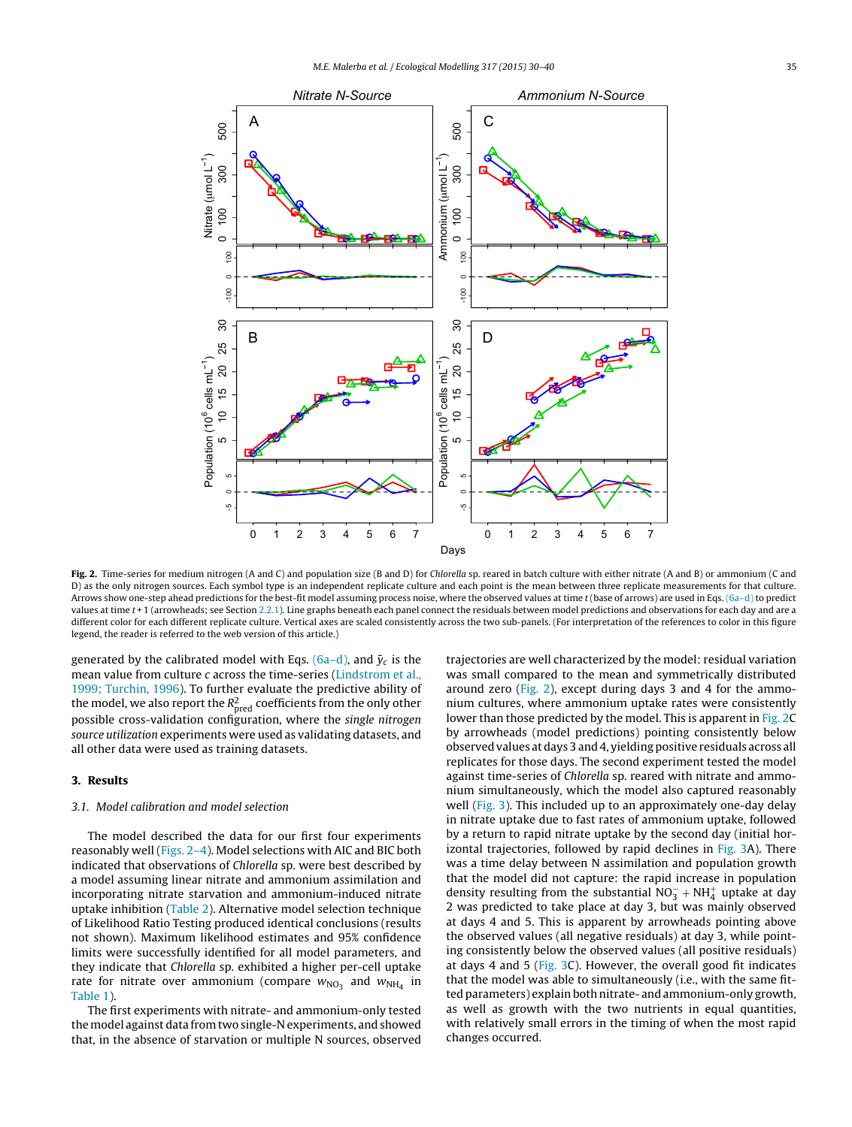<span id="page-5-0"></span>

**Fig. 2.** Time-series for medium nitrogen (A and C) and population size (B and D) for Chlorella sp. reared in batch culture with either nitrate (A and B) or ammonium (C and D) as the only nitrogen sources. Each symbol type is an independent replicate culture and each point is the mean between three replicate measurements for that culture. Arrows show one-step ahead predictions for the best-fit model assuming process noise, where the observed values at time t (base of arrows) are used in Eqs. [\(6a–d\)](#page-2-0) to predict values at time t + 1 (arrowheads; see Section [2.2.1\).](#page-3-0) Line graphs beneath each panel connect the residuals between model predictions and observations for each day and are a different color for each different replicate culture. Vertical axes are scaled consistently across the two sub-panels. (For interpretation of the references to color in this figure legend, the reader is referred to the web version of this article.)

generated by the calibrated model with Eqs. [\(6a–d\),](#page-2-0) and  $\bar{y}_c$  is the mean value from culture c across the time-series ([Lindstrom](#page-9-0) et [al.,](#page-9-0) [1999;](#page-9-0) [Turchin,](#page-9-0) [1996\).](#page-9-0) To further evaluate the predictive ability of the model, we also report the  $R_{\rm pred}^2$  coefficients from the only other possible cross-validation configuration, where the single nitrogen source utilization experiments were used as validating datasets, and all other data were used as training datasets.

#### **3. Results**

## 3.1. Model calibration and model selection

The model described the data for our first four experiments reasonably well (Figs. 2–4). Model selections with AIC and BIC both indicated that observations of Chlorella sp. were best described by a model assuming linear nitrate and ammonium assimilation and incorporating nitrate starvation and ammonium-induced nitrate uptake inhibition [\(Table](#page-7-0) 2). Alternative model selection technique of Likelihood Ratio Testing produced identical conclusions (results not shown). Maximum likelihood estimates and 95% confidence limits were successfully identified for all model parameters, and they indicate that Chlorella sp. exhibited a higher per-cell uptake rate for nitrate over ammonium (compare  $w_{NO_3}$  and  $w_{NH_4}$  in [Table](#page-2-0) 1).

The first experiments with nitrate- and ammonium-only tested the model against data from two single-N experiments, and showed that, in the absence of starvation or multiple N sources, observed trajectories are well characterized by the model: residual variation was small compared to the mean and symmetrically distributed around zero (Fig. 2), except during days 3 and 4 for the ammonium cultures, where ammonium uptake rates were consistently lower than those predicted by the model. This is apparent in Fig. 2C by arrowheads (model predictions) pointing consistently below observed values at days 3 and 4, yielding positive residuals across all replicates for those days. The second experiment tested the model against time-series of Chlorella sp. reared with nitrate and ammonium simultaneously, which the model also captured reasonably well [\(Fig.](#page-6-0) 3). This included up to an approximately one-day delay in nitrate uptake due to fast rates of ammonium uptake, followed by a return to rapid nitrate uptake by the second day (initial hor-izontal trajectories, followed by rapid declines in [Fig.](#page-6-0) 3A). There was a time delay between N assimilation and population growth that the model did not capture: the rapid increase in population density resulting from the substantial  $NO_3^- + NH_4^+$  uptake at day 2 was predicted to take place at day 3, but was mainly observed at days 4 and 5. This is apparent by arrowheads pointing above the observed values (all negative residuals) at day 3, while pointing consistently below the observed values (all positive residuals) at days 4 and 5 ([Fig.](#page-6-0) 3C). However, the overall good fit indicates that the model was able to simultaneously (i.e., with the same fitted parameters) explain both nitrate- and ammonium-only growth, as well as growth with the two nutrients in equal quantities, with relatively small errors in the timing of when the most rapid changes occurred.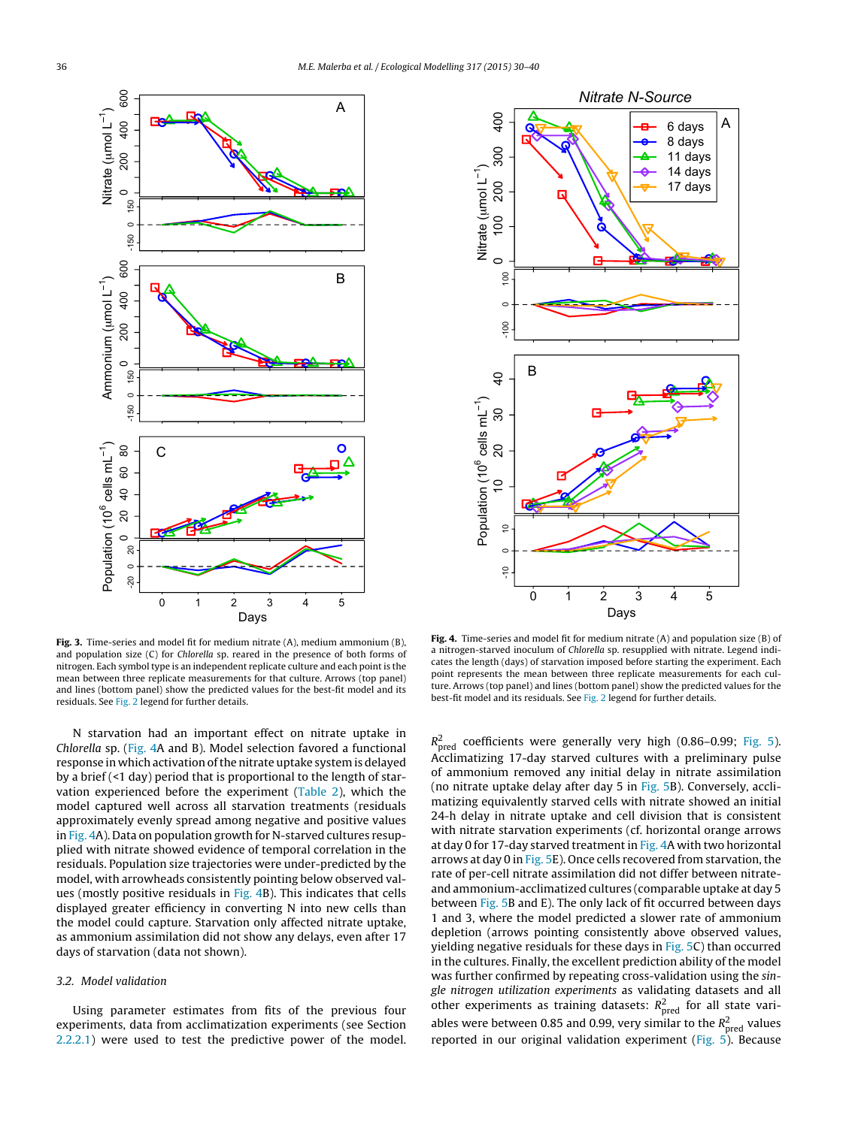<span id="page-6-0"></span>

**Fig. 3.** Time-series and model fit for medium nitrate (A), medium ammonium (B), and population size (C) for Chlorella sp. reared in the presence of both forms of nitrogen. Each symbol type is an independent replicate culture and each point is the mean between three replicate measurements for that culture. Arrows (top panel) and lines (bottom panel) show the predicted values for the best-fit model and its residuals. See [Fig.](#page-5-0) 2 legend for further details.

N starvation had an important effect on nitrate uptake in Chlorella sp. (Fig. 4A and B). Model selection favored a functional response in which activation of the nitrate uptake system is delayed by a brief (<1 day) period that is proportional to the length of starvation experienced before the experiment ([Table](#page-7-0) 2), which the model captured well across all starvation treatments (residuals approximately evenly spread among negative and positive values in Fig. 4A). Data on population growth for N-starved cultures resupplied with nitrate showed evidence of temporal correlation in the residuals. Population size trajectories were under-predicted by the model, with arrowheads consistently pointing below observed values (mostly positive residuals in Fig. 4B). This indicates that cells displayed greater efficiency in converting N into new cells than the model could capture. Starvation only affected nitrate uptake, as ammonium assimilation did not show any delays, even after 17 days of starvation (data not shown).

## 3.2. Model validation

Using parameter estimates from fits of the previous four experiments, data from acclimatization experiments (see Section [2.2.2.1\)](#page-4-0) were used to test the predictive power of the model.



**Fig. 4.** Time-series and model fit for medium nitrate (A) and population size (B) of a nitrogen-starved inoculum of Chlorella sp. resupplied with nitrate. Legend indicates the length (days) of starvation imposed before starting the experiment. Each point represents the mean between three replicate measurements for each culture. Arrows (top panel) and lines (bottom panel) show the predicted values for the best-fit model and its residuals. See [Fig.](#page-5-0) 2 legend for further details.

 $R_{\text{pred}}^2$  coefficients were generally very high (0.86–0.99; [Fig.](#page-8-0) 5). Acclimatizing 17-day starved cultures with a preliminary pulse of ammonium removed any initial delay in nitrate assimilation (no nitrate uptake delay after day 5 in [Fig.](#page-8-0) 5B). Conversely, acclimatizing equivalently starved cells with nitrate showed an initial 24-h delay in nitrate uptake and cell division that is consistent with nitrate starvation experiments (cf. horizontal orange arrows at day 0 for 17-day starved treatment in Fig. 4A with two horizontal arrows at day 0 in [Fig.](#page-8-0) 5E). Once cells recovered from starvation, the rate of per-cell nitrate assimilation did not differ between nitrateand ammonium-acclimatized cultures (comparable uptake at day 5 between [Fig.](#page-8-0) 5B and E). The only lack of fit occurred between days 1 and 3, where the model predicted a slower rate of ammonium depletion (arrows pointing consistently above observed values, yielding negative residuals for these days in [Fig.](#page-8-0) 5C) than occurred in the cultures. Finally, the excellent prediction ability of the model was further confirmed by repeating cross-validation using the single nitrogen utilization experiments as validating datasets and all other experiments as training datasets:  $R_{pred}^2$  for all state variables were between 0.85 and 0.99, very similar to the  $R^2_{\text{pred}}$  values reported in our original validation experiment ( $Fig. 5$ ). Because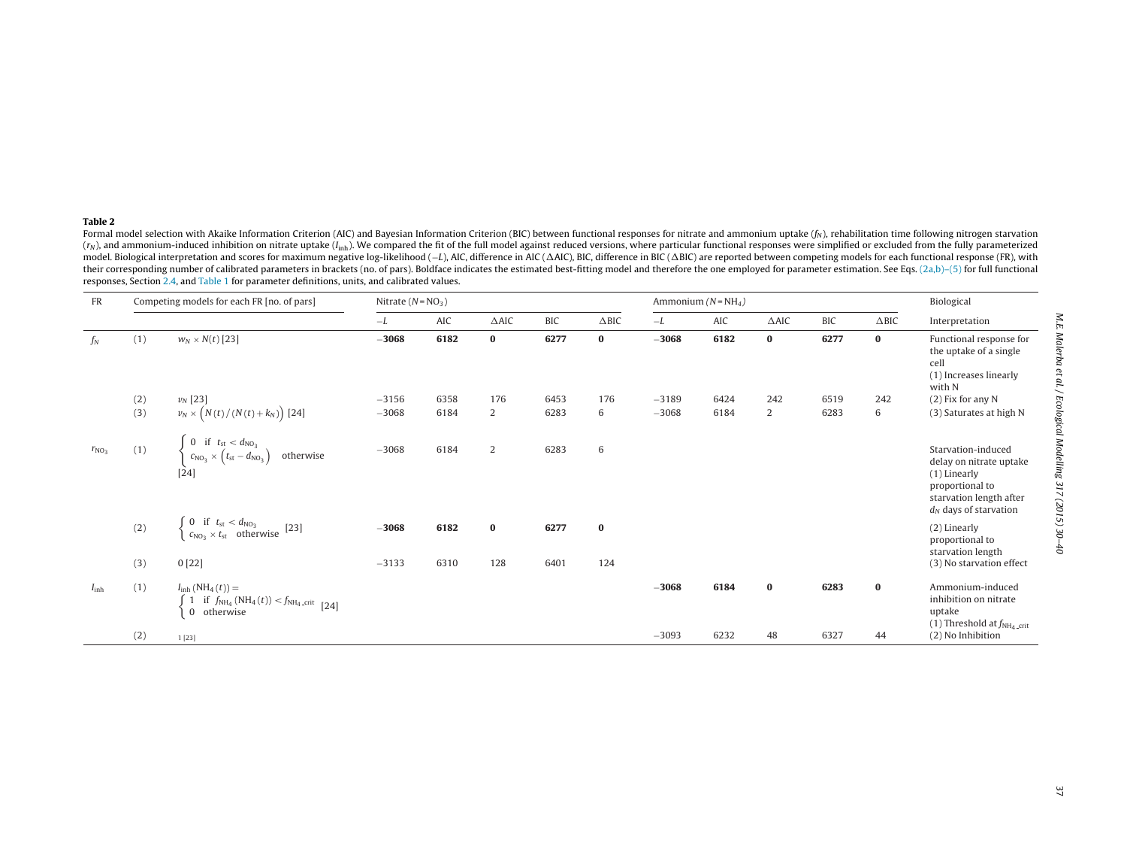#### <span id="page-7-0"></span>**Table 2**

Formal model selection with Akaike Information Criterion (AIC) and Bayesian Information Criterion (BIC) between functional responses for nitrate and ammonium uptake  $(f_N)$ , rehabilitation time following nitrogen starvation  $(r_N)$ , and ammonium-induced inhibition on nitrate uptake  $(l_{\text{inh}})$ . We compared the fit of the full model against reduced versions, where particular functional responses were simplified or excluded from the fully paramet model. Biological interpretation and scores for maximum negative log-likelihood (−L), AIC, difference in AIC (∆AIC), BIC, difference in BIC (∆BIC) are reported between competing models for each functional response (FR), w their corresponding number of calibrated parameters in brackets (no. of pars). Boldface indicates the estimated best-fitting model and therefore the one employed for parameter estimation. See Eqs. [\(2a,b\)–\(5\)](#page-1-0) for full funct responses, Section [2.4,](#page-4-0) and [Table](#page-2-0) 1 for parameter definitions, units, and calibrated values.

| FR               | Competing models for each FR [no. of pars] |                                                                                                                                                               | Nitrate $(N = NO3)$ |      |                 |            | Ammonium $(N = NH4)$ |         |      |                 | Biological |                 |                                                                                                                                           |
|------------------|--------------------------------------------|---------------------------------------------------------------------------------------------------------------------------------------------------------------|---------------------|------|-----------------|------------|----------------------|---------|------|-----------------|------------|-----------------|-------------------------------------------------------------------------------------------------------------------------------------------|
|                  |                                            |                                                                                                                                                               | $-L$                | AIC  | $\triangle$ AIC | <b>BIC</b> | $\triangle BIC$      | $-L$    | AIC  | $\triangle$ AIC | BIC        | $\triangle BIC$ | Interpretation                                                                                                                            |
| $f_N$            | (1)                                        | $W_N \times N(t)$ [23]                                                                                                                                        | $-3068$             | 6182 | $\bf{0}$        | 6277       | $\bf{0}$             | $-3068$ | 6182 | $\bf{0}$        | 6277       | $\bf{0}$        | Functional response for<br>the uptake of a single<br>cell<br>(1) Increases linearly<br>with N                                             |
|                  | (2)                                        | $\nu_N$ [23]                                                                                                                                                  | $-3156$             | 6358 | 176             | 6453       | 176                  | $-3189$ | 6424 | 242             | 6519       | 242             | $(2)$ Fix for any N                                                                                                                       |
|                  | (3)                                        | $v_N \times (N(t)/(N(t)+k_N))$ [24]                                                                                                                           | $-3068$             | 6184 | 2               | 6283       | 6                    | $-3068$ | 6184 | 2               | 6283       | 6               | (3) Saturates at high N                                                                                                                   |
| $r_{\rm NO_3}$   |                                            | (1) $\begin{cases} 0 & \text{if } t_{\text{st}} < d_{\text{NO}_3} \\ c_{\text{NO}_3} \times (t_{\text{st}} - d_{\text{NO}_3}) & \text{otherwise} \end{cases}$ | $-3068$             | 6184 | $\overline{2}$  | 6283       | 6                    |         |      |                 |            |                 | Starvation-induced<br>delay on nitrate uptake<br>$(1)$ Linearly<br>proportional to<br>starvation length after<br>$d_N$ days of starvation |
|                  | (2)                                        | $\begin{cases} 0 & \text{if } t_{\text{st}} < d_{\text{NO}_3} \\ c_{\text{NO}_3} \times t_{\text{st}} & \text{otherwise} \end{cases}$ [23]                    | $-3068$             | 6182 | $\bf{0}$        | 6277       | $\bf{0}$             |         |      |                 |            |                 | (2) Linearly<br>proportional to<br>starvation length                                                                                      |
|                  | (3)                                        | 0[22]                                                                                                                                                         | $-3133$             | 6310 | 128             | 6401       | 124                  |         |      |                 |            |                 | (3) No starvation effect                                                                                                                  |
| $I_{\text{inh}}$ | (1)                                        | $I_{\rm inh}(\mathrm{NH}_4(t)) =$<br>1 if $f_{NH_4}$ (NH <sub>4</sub> (t)) < $f_{NH_4\text{-crit}}$ [24]<br>0 otherwise                                       |                     |      |                 |            |                      | $-3068$ | 6184 | $\bf{0}$        | 6283       | $\bf{0}$        | Ammonium-induced<br>inhibition on nitrate<br>uptake<br>(1) Threshold at $f_{NH_4\text{-crit}}$                                            |
|                  | (2)                                        | 1[23]                                                                                                                                                         |                     |      |                 |            |                      | $-3093$ | 6232 | 48              | 6327       | 44              | (2) No Inhibition                                                                                                                         |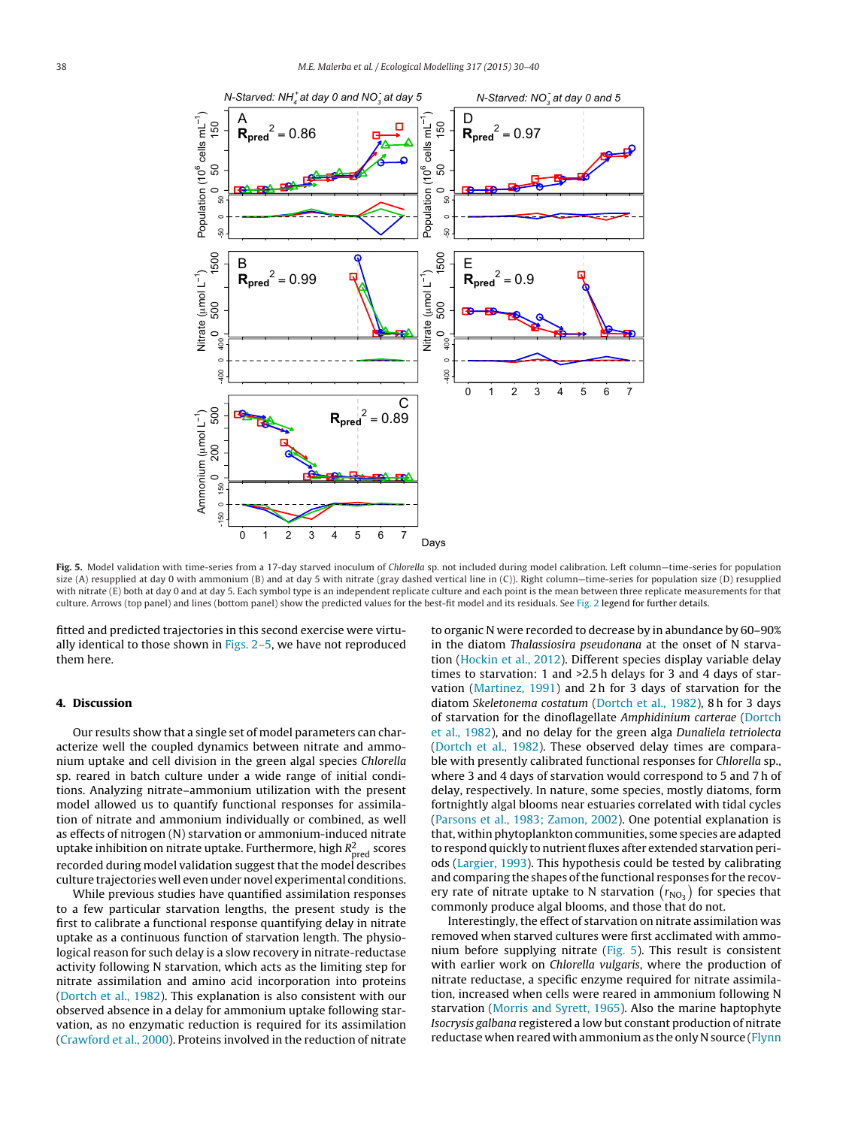<span id="page-8-0"></span>

**Fig. 5.** Model validation with time-series from a 17-day starved inoculum of Chlorella sp. not included during model calibration. Left column—time-series for population size (A) resupplied at day 0 with ammonium (B) and at day 5 with nitrate (gray dashed vertical line in (C)). Right column—time-series for population size (D) resupplied with nitrate (E) both at day 0 and at day 5. Each symbol type is an independent replicate culture and each point is the mean between three replicate measurements for that culture. Arrows (top panel) and lines (bottom panel) show the predicted values for the best-fit model and its residuals. See [Fig.](#page-5-0) 2 legend for further details.

fitted and predicted trajectories in this second exercise were virtually identical to those shown in [Figs.](#page-5-0) 2–5, we have not reproduced them here.

#### **4. Discussion**

Our results show that a single set of model parameters can characterize well the coupled dynamics between nitrate and ammonium uptake and cell division in the green algal species Chlorella sp. reared in batch culture under a wide range of initial conditions. Analyzing nitrate–ammonium utilization with the present model allowed us to quantify functional responses for assimilation of nitrate and ammonium individually or combined, as well as effects of nitrogen (N) starvation or ammonium-induced nitrate uptake inhibition on nitrate uptake. Furthermore, high  $R^2_{\rm pred}$  scores recorded during model validation suggest that the model describes culture trajectories well even under novel experimental conditions.

While previous studies have quantified assimilation responses to a few particular starvation lengths, the present study is the first to calibrate a functional response quantifying delay in nitrate uptake as a continuous function of starvation length. The physiological reason for such delay is a slow recovery in nitrate-reductase activity following N starvation, which acts as the limiting step for nitrate assimilation and amino acid incorporation into proteins ([Dortch](#page-9-0) et [al.,](#page-9-0) [1982\).](#page-9-0) This explanation is also consistent with our observed absence in a delay for ammonium uptake following starvation, as no enzymatic reduction is required for its assimilation ([Crawford](#page-9-0) et [al.,](#page-9-0) [2000\).](#page-9-0) Proteins involved in the reduction of nitrate to organic N were recorded to decrease by in abundance by 60–90% in the diatom Thalassiosira pseudonana at the onset of N starvation [\(Hockin](#page-9-0) et [al.,](#page-9-0) [2012\).](#page-9-0) Different species display variable delay times to starvation: 1 and >2.5 h delays for 3 and 4 days of starvation [\(Martinez,](#page-10-0) [1991\)](#page-10-0) and 2 h for 3 days of starvation for the diatom Skeletonema costatum [\(Dortch](#page-9-0) et [al.,](#page-9-0) [1982\),](#page-9-0) 8 h for 3 days of starvation for the dinoflagellate Amphidinium carterae ([Dortch](#page-9-0) et [al.,](#page-9-0) [1982\),](#page-9-0) and no delay for the green alga Dunaliela tetriolecta [\(Dortch](#page-9-0) et [al.,](#page-9-0) [1982\).](#page-9-0) These observed delay times are comparable with presently calibrated functional responses for Chlorella sp., where 3 and 4 days of starvation would correspond to 5 and 7 h of delay, respectively. In nature, some species, mostly diatoms, form fortnightly algal blooms near estuaries correlated with tidal cycles [\(Parsons](#page-10-0) et [al.,](#page-10-0) [1983;](#page-10-0) [Zamon,](#page-10-0) [2002\).](#page-10-0) One potential explanation is that, within phytoplankton communities, some species are adapted to respond quickly to nutrient fluxes after extended starvation periods [\(Largier,](#page-9-0) [1993\).](#page-9-0) This hypothesis could be tested by calibrating and comparing the shapes of the functional responses for the recovery rate of nitrate uptake to N starvation  $\left(r_{\text{NO}_3}\right)$  for species that commonly produce algal blooms, and those that do not.

Interestingly, the effect of starvation on nitrate assimilation was removed when starved cultures were first acclimated with ammonium before supplying nitrate (Fig. 5). This result is consistent with earlier work on Chlorella vulgaris, where the production of nitrate reductase, a specific enzyme required for nitrate assimilation, increased when cells were reared in ammonium following N starvation ([Morris](#page-10-0) [and](#page-10-0) [Syrett,](#page-10-0) [1965\).](#page-10-0) Also the marine haptophyte Isocrysis galbana registered a low but constant production of nitrate reductase when reared with ammonium as the only N source ([Flynn](#page-9-0)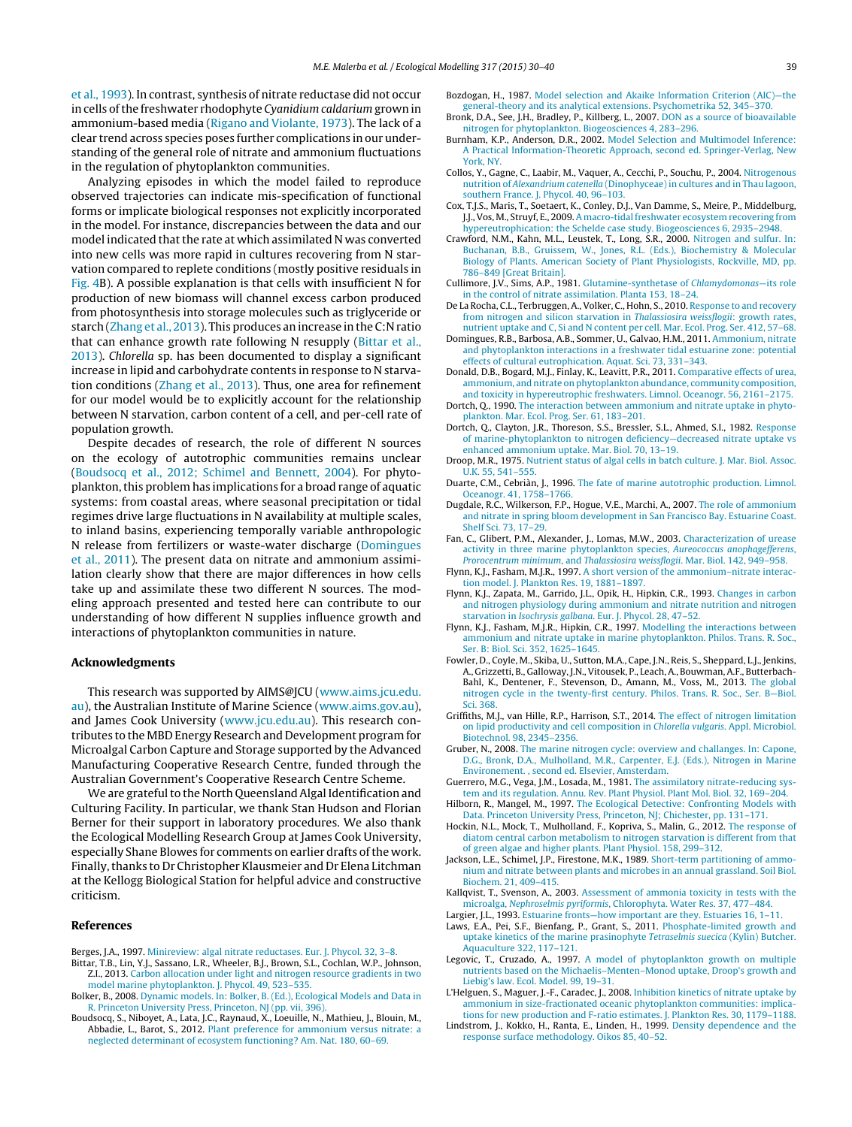<span id="page-9-0"></span>et al., 1993). In contrast, synthesis of nitrate reductase did not occur in cells of the freshwater rhodophyte Cyanidium caldarium grown in ammonium-based media ([Rigano](#page-10-0) [and](#page-10-0) [Violante,](#page-10-0) [1973\).](#page-10-0) The lack of a clear trend across species poses further complications in our understanding of the general role of nitrate and ammonium fluctuations in the regulation of phytoplankton communities.

Analyzing episodes in which the model failed to reproduce observed trajectories can indicate mis-specification of functional forms or implicate biological responses not explicitly incorporated in the model. For instance, discrepancies between the data and our model indicated that the rate at which assimilated N was converted into new cells was more rapid in cultures recovering from N starvation compared to replete conditions (mostly positive residuals in [Fig.](#page-6-0) 4B). A possible explanation is that cells with insufficient N for production of new biomass will channel excess carbon produced from photosynthesis into storage molecules such as triglyceride or starch ([Zhang](#page-10-0) et [al.,](#page-10-0) [2013\).](#page-10-0) This produces an increase in the C:N ratio that can enhance growth rate following N resupply (Bittar et al., 2013). Chlorella sp. has been documented to display a significant increase in lipid and carbohydrate contents in response to N starvation conditions ([Zhang](#page-10-0) et [al.,](#page-10-0) [2013\).](#page-10-0) Thus, one area for refinement for our model would be to explicitly account for the relationship between N starvation, carbon content of a cell, and per-cell rate of population growth.

Despite decades of research, the role of different N sources on the ecology of autotrophic communities remains unclear (Boudsocq et al., 2012; Schimel and Bennett, 2004). For phytoplankton,this problem has implications for a broad range of aquatic systems: from coastal areas, where seasonal precipitation or tidal regimes drive large fluctuations in N availability at multiple scales, to inland basins, experiencing temporally variable anthropologic N release from fertilizers or waste-water discharge (Domingues et al., 2011). The present data on nitrate and ammonium assimilation clearly show that there are major differences in how cells take up and assimilate these two different N sources. The modeling approach presented and tested here can contribute to our understanding of how different N supplies influence growth and interactions of phytoplankton communities in nature.

#### **Acknowledgments**

This research was supported by AIMS@JCU [\(www.aims.jcu.edu.](http://www.aims.jcu.edu.au/) [au](http://www.aims.jcu.edu.au/)), the Australian Institute of Marine Science ([www.aims.gov.au](http://www.aims.gov.au/)), and James Cook University ([www.jcu.edu.au](http://www.jcu.edu.au/)). This research contributes to the MBD Energy Research and Development program for Microalgal Carbon Capture and Storage supported by the Advanced Manufacturing Cooperative Research Centre, funded through the Australian Government's Cooperative Research Centre Scheme.

We are grateful to the North Queensland Algal Identification and Culturing Facility. In particular, we thank Stan Hudson and Florian Berner for their support in laboratory procedures. We also thank the Ecological Modelling Research Group at James Cook University, especially Shane Blowes for comments on earlier drafts ofthe work. Finally, thanks to Dr Christopher Klausmeier and Dr Elena Litchman at the Kellogg Biological Station for helpful advice and constructive criticism.

#### **References**

- Berges, J.A., 1997. [Minireview:](http://refhub.elsevier.com/S0304-3800(15)00387-7/sbref0005) [algal](http://refhub.elsevier.com/S0304-3800(15)00387-7/sbref0005) [nitrate](http://refhub.elsevier.com/S0304-3800(15)00387-7/sbref0005) [reductases.](http://refhub.elsevier.com/S0304-3800(15)00387-7/sbref0005) [Eur.](http://refhub.elsevier.com/S0304-3800(15)00387-7/sbref0005) [J.](http://refhub.elsevier.com/S0304-3800(15)00387-7/sbref0005) [Phycol.](http://refhub.elsevier.com/S0304-3800(15)00387-7/sbref0005) [32,](http://refhub.elsevier.com/S0304-3800(15)00387-7/sbref0005) [3](http://refhub.elsevier.com/S0304-3800(15)00387-7/sbref0005)–[8.](http://refhub.elsevier.com/S0304-3800(15)00387-7/sbref0005)
- Bittar, T.B., Lin, Y.J., Sassano, L.R., Wheeler, B.J., Brown, S.L., Cochlan, W.P., Johnson, Z.I., 2013. [Carbon](http://refhub.elsevier.com/S0304-3800(15)00387-7/sbref0010) [allocation](http://refhub.elsevier.com/S0304-3800(15)00387-7/sbref0010) [under](http://refhub.elsevier.com/S0304-3800(15)00387-7/sbref0010) [light](http://refhub.elsevier.com/S0304-3800(15)00387-7/sbref0010) [and](http://refhub.elsevier.com/S0304-3800(15)00387-7/sbref0010) [nitrogen](http://refhub.elsevier.com/S0304-3800(15)00387-7/sbref0010) [resource](http://refhub.elsevier.com/S0304-3800(15)00387-7/sbref0010) [gradients](http://refhub.elsevier.com/S0304-3800(15)00387-7/sbref0010) [in](http://refhub.elsevier.com/S0304-3800(15)00387-7/sbref0010) [two](http://refhub.elsevier.com/S0304-3800(15)00387-7/sbref0010) [model](http://refhub.elsevier.com/S0304-3800(15)00387-7/sbref0010) [marine](http://refhub.elsevier.com/S0304-3800(15)00387-7/sbref0010) [phytoplankton.](http://refhub.elsevier.com/S0304-3800(15)00387-7/sbref0010) [J.](http://refhub.elsevier.com/S0304-3800(15)00387-7/sbref0010) [Phycol.](http://refhub.elsevier.com/S0304-3800(15)00387-7/sbref0010) [49,](http://refhub.elsevier.com/S0304-3800(15)00387-7/sbref0010) [523](http://refhub.elsevier.com/S0304-3800(15)00387-7/sbref0010)–[535.](http://refhub.elsevier.com/S0304-3800(15)00387-7/sbref0010)
- Bolker, B., 2008. [Dynamic](http://refhub.elsevier.com/S0304-3800(15)00387-7/sbref0015) [models.](http://refhub.elsevier.com/S0304-3800(15)00387-7/sbref0015) [In:](http://refhub.elsevier.com/S0304-3800(15)00387-7/sbref0015) [Bolker,](http://refhub.elsevier.com/S0304-3800(15)00387-7/sbref0015) [B.](http://refhub.elsevier.com/S0304-3800(15)00387-7/sbref0015) [\(Ed.\),](http://refhub.elsevier.com/S0304-3800(15)00387-7/sbref0015) [Ecological](http://refhub.elsevier.com/S0304-3800(15)00387-7/sbref0015) [Models](http://refhub.elsevier.com/S0304-3800(15)00387-7/sbref0015) [and](http://refhub.elsevier.com/S0304-3800(15)00387-7/sbref0015) [Data](http://refhub.elsevier.com/S0304-3800(15)00387-7/sbref0015) [in](http://refhub.elsevier.com/S0304-3800(15)00387-7/sbref0015) [R.](http://refhub.elsevier.com/S0304-3800(15)00387-7/sbref0015) [Princeton](http://refhub.elsevier.com/S0304-3800(15)00387-7/sbref0015) [University](http://refhub.elsevier.com/S0304-3800(15)00387-7/sbref0015) [Press,](http://refhub.elsevier.com/S0304-3800(15)00387-7/sbref0015) [Princeton,](http://refhub.elsevier.com/S0304-3800(15)00387-7/sbref0015) [NJ](http://refhub.elsevier.com/S0304-3800(15)00387-7/sbref0015) [\(pp.](http://refhub.elsevier.com/S0304-3800(15)00387-7/sbref0015) [vii,](http://refhub.elsevier.com/S0304-3800(15)00387-7/sbref0015) [396\).](http://refhub.elsevier.com/S0304-3800(15)00387-7/sbref0015)
- Boudsocq, S., Niboyet, A., Lata, J.C., Raynaud, X., Loeuille, N., Mathieu, J., Blouin, M., Abbadie, L., Barot, S., 2012. [Plant](http://refhub.elsevier.com/S0304-3800(15)00387-7/sbref0020) [preference](http://refhub.elsevier.com/S0304-3800(15)00387-7/sbref0020) [for](http://refhub.elsevier.com/S0304-3800(15)00387-7/sbref0020) [ammonium](http://refhub.elsevier.com/S0304-3800(15)00387-7/sbref0020) [versus](http://refhub.elsevier.com/S0304-3800(15)00387-7/sbref0020) [nitrate:](http://refhub.elsevier.com/S0304-3800(15)00387-7/sbref0020) [a](http://refhub.elsevier.com/S0304-3800(15)00387-7/sbref0020) [neglected](http://refhub.elsevier.com/S0304-3800(15)00387-7/sbref0020) [determinant](http://refhub.elsevier.com/S0304-3800(15)00387-7/sbref0020) [of](http://refhub.elsevier.com/S0304-3800(15)00387-7/sbref0020) [ecosystem](http://refhub.elsevier.com/S0304-3800(15)00387-7/sbref0020) [functioning?](http://refhub.elsevier.com/S0304-3800(15)00387-7/sbref0020) [Am.](http://refhub.elsevier.com/S0304-3800(15)00387-7/sbref0020) [Nat.](http://refhub.elsevier.com/S0304-3800(15)00387-7/sbref0020) [180,](http://refhub.elsevier.com/S0304-3800(15)00387-7/sbref0020) [60](http://refhub.elsevier.com/S0304-3800(15)00387-7/sbref0020)–[69.](http://refhub.elsevier.com/S0304-3800(15)00387-7/sbref0020)
- Bozdogan, H., 1987. [Model](http://refhub.elsevier.com/S0304-3800(15)00387-7/sbref0025) [selection](http://refhub.elsevier.com/S0304-3800(15)00387-7/sbref0025) [and](http://refhub.elsevier.com/S0304-3800(15)00387-7/sbref0025) [Akaike](http://refhub.elsevier.com/S0304-3800(15)00387-7/sbref0025) [Information](http://refhub.elsevier.com/S0304-3800(15)00387-7/sbref0025) [Criterion](http://refhub.elsevier.com/S0304-3800(15)00387-7/sbref0025) [\(AIC\)](http://refhub.elsevier.com/S0304-3800(15)00387-7/sbref0025)—[the](http://refhub.elsevier.com/S0304-3800(15)00387-7/sbref0025) [general-theory](http://refhub.elsevier.com/S0304-3800(15)00387-7/sbref0025) [and](http://refhub.elsevier.com/S0304-3800(15)00387-7/sbref0025) [its](http://refhub.elsevier.com/S0304-3800(15)00387-7/sbref0025) [analytical](http://refhub.elsevier.com/S0304-3800(15)00387-7/sbref0025) [extensions.](http://refhub.elsevier.com/S0304-3800(15)00387-7/sbref0025) [Psychometrika](http://refhub.elsevier.com/S0304-3800(15)00387-7/sbref0025) [52,](http://refhub.elsevier.com/S0304-3800(15)00387-7/sbref0025) [345](http://refhub.elsevier.com/S0304-3800(15)00387-7/sbref0025)–[370.](http://refhub.elsevier.com/S0304-3800(15)00387-7/sbref0025)
- Bronk, D.A., See, J.H., Bradley, P., Killberg, L., 2007. [DON](http://refhub.elsevier.com/S0304-3800(15)00387-7/sbref0030) [as](http://refhub.elsevier.com/S0304-3800(15)00387-7/sbref0030) [a](http://refhub.elsevier.com/S0304-3800(15)00387-7/sbref0030) [source](http://refhub.elsevier.com/S0304-3800(15)00387-7/sbref0030) [of](http://refhub.elsevier.com/S0304-3800(15)00387-7/sbref0030) [bioavailable](http://refhub.elsevier.com/S0304-3800(15)00387-7/sbref0030) [nitrogen](http://refhub.elsevier.com/S0304-3800(15)00387-7/sbref0030) [for](http://refhub.elsevier.com/S0304-3800(15)00387-7/sbref0030) [phytoplankton.](http://refhub.elsevier.com/S0304-3800(15)00387-7/sbref0030) [Biogeosciences](http://refhub.elsevier.com/S0304-3800(15)00387-7/sbref0030) [4,](http://refhub.elsevier.com/S0304-3800(15)00387-7/sbref0030) [283](http://refhub.elsevier.com/S0304-3800(15)00387-7/sbref0030)–[296.](http://refhub.elsevier.com/S0304-3800(15)00387-7/sbref0030)
- Burnham, K.P., Anderson, D.R., 2002. [Model](http://refhub.elsevier.com/S0304-3800(15)00387-7/sbref0035) [Selection](http://refhub.elsevier.com/S0304-3800(15)00387-7/sbref0035) [and](http://refhub.elsevier.com/S0304-3800(15)00387-7/sbref0035) [Multimodel](http://refhub.elsevier.com/S0304-3800(15)00387-7/sbref0035) [Inference:](http://refhub.elsevier.com/S0304-3800(15)00387-7/sbref0035) [A](http://refhub.elsevier.com/S0304-3800(15)00387-7/sbref0035) [Practical](http://refhub.elsevier.com/S0304-3800(15)00387-7/sbref0035) [Information-Theoretic](http://refhub.elsevier.com/S0304-3800(15)00387-7/sbref0035) [Approach,](http://refhub.elsevier.com/S0304-3800(15)00387-7/sbref0035) [second](http://refhub.elsevier.com/S0304-3800(15)00387-7/sbref0035) [ed.](http://refhub.elsevier.com/S0304-3800(15)00387-7/sbref0035) [Springer-Verlag,](http://refhub.elsevier.com/S0304-3800(15)00387-7/sbref0035) [New](http://refhub.elsevier.com/S0304-3800(15)00387-7/sbref0035) [York,](http://refhub.elsevier.com/S0304-3800(15)00387-7/sbref0035) [NY.](http://refhub.elsevier.com/S0304-3800(15)00387-7/sbref0035)
- Collos, Y., Gagne, C., Laabir, M., Vaquer, A., Cecchi, P., Souchu, P., 2004. [Nitrogenous](http://refhub.elsevier.com/S0304-3800(15)00387-7/sbref0040) [nutrition](http://refhub.elsevier.com/S0304-3800(15)00387-7/sbref0040) [of](http://refhub.elsevier.com/S0304-3800(15)00387-7/sbref0040) [Alexandrium](http://refhub.elsevier.com/S0304-3800(15)00387-7/sbref0040) [catenella](http://refhub.elsevier.com/S0304-3800(15)00387-7/sbref0040) [\(Dinophyceae\)](http://refhub.elsevier.com/S0304-3800(15)00387-7/sbref0040) [in](http://refhub.elsevier.com/S0304-3800(15)00387-7/sbref0040) [cultures](http://refhub.elsevier.com/S0304-3800(15)00387-7/sbref0040) [and](http://refhub.elsevier.com/S0304-3800(15)00387-7/sbref0040) [in](http://refhub.elsevier.com/S0304-3800(15)00387-7/sbref0040) [Thau](http://refhub.elsevier.com/S0304-3800(15)00387-7/sbref0040) [lagoon,](http://refhub.elsevier.com/S0304-3800(15)00387-7/sbref0040) [southern](http://refhub.elsevier.com/S0304-3800(15)00387-7/sbref0040) [France.](http://refhub.elsevier.com/S0304-3800(15)00387-7/sbref0040) [J.](http://refhub.elsevier.com/S0304-3800(15)00387-7/sbref0040) [Phycol.](http://refhub.elsevier.com/S0304-3800(15)00387-7/sbref0040) [40,](http://refhub.elsevier.com/S0304-3800(15)00387-7/sbref0040) [96](http://refhub.elsevier.com/S0304-3800(15)00387-7/sbref0040)–[103.](http://refhub.elsevier.com/S0304-3800(15)00387-7/sbref0040)
- Cox, T.J.S., Maris, T., Soetaert, K., Conley, D.J., Van Damme, S., Meire, P., Middelburg, J.J., Vos, M., Struyf, E., 2009. [A](http://refhub.elsevier.com/S0304-3800(15)00387-7/sbref0045) [macro-tidal](http://refhub.elsevier.com/S0304-3800(15)00387-7/sbref0045) [freshwater](http://refhub.elsevier.com/S0304-3800(15)00387-7/sbref0045) [ecosystem](http://refhub.elsevier.com/S0304-3800(15)00387-7/sbref0045) [recovering](http://refhub.elsevier.com/S0304-3800(15)00387-7/sbref0045) [from](http://refhub.elsevier.com/S0304-3800(15)00387-7/sbref0045) [hypereutrophication:](http://refhub.elsevier.com/S0304-3800(15)00387-7/sbref0045) [the](http://refhub.elsevier.com/S0304-3800(15)00387-7/sbref0045) [Schelde](http://refhub.elsevier.com/S0304-3800(15)00387-7/sbref0045) [case](http://refhub.elsevier.com/S0304-3800(15)00387-7/sbref0045) [study.](http://refhub.elsevier.com/S0304-3800(15)00387-7/sbref0045) [Biogeosciences](http://refhub.elsevier.com/S0304-3800(15)00387-7/sbref0045) [6,](http://refhub.elsevier.com/S0304-3800(15)00387-7/sbref0045) [2935–2948.](http://refhub.elsevier.com/S0304-3800(15)00387-7/sbref0045)
- Crawford, N.M., Kahn, M.L., Leustek, T., Long, S.R., 2000. [Nitrogen](http://refhub.elsevier.com/S0304-3800(15)00387-7/sbref0050) [and](http://refhub.elsevier.com/S0304-3800(15)00387-7/sbref0050) [sulfur.](http://refhub.elsevier.com/S0304-3800(15)00387-7/sbref0050) [In:](http://refhub.elsevier.com/S0304-3800(15)00387-7/sbref0050) [Buchanan,](http://refhub.elsevier.com/S0304-3800(15)00387-7/sbref0050) [B.B.,](http://refhub.elsevier.com/S0304-3800(15)00387-7/sbref0050) [Gruissem,](http://refhub.elsevier.com/S0304-3800(15)00387-7/sbref0050) [W.,](http://refhub.elsevier.com/S0304-3800(15)00387-7/sbref0050) [Jones,](http://refhub.elsevier.com/S0304-3800(15)00387-7/sbref0050) [R.L.](http://refhub.elsevier.com/S0304-3800(15)00387-7/sbref0050) [\(Eds.\),](http://refhub.elsevier.com/S0304-3800(15)00387-7/sbref0050) [Biochemistry](http://refhub.elsevier.com/S0304-3800(15)00387-7/sbref0050) [&](http://refhub.elsevier.com/S0304-3800(15)00387-7/sbref0050) [Molecular](http://refhub.elsevier.com/S0304-3800(15)00387-7/sbref0050) [Biology](http://refhub.elsevier.com/S0304-3800(15)00387-7/sbref0050) [of](http://refhub.elsevier.com/S0304-3800(15)00387-7/sbref0050) [Plants.](http://refhub.elsevier.com/S0304-3800(15)00387-7/sbref0050) [American](http://refhub.elsevier.com/S0304-3800(15)00387-7/sbref0050) [Society](http://refhub.elsevier.com/S0304-3800(15)00387-7/sbref0050) [of](http://refhub.elsevier.com/S0304-3800(15)00387-7/sbref0050) [Plant](http://refhub.elsevier.com/S0304-3800(15)00387-7/sbref0050) [Physiologists,](http://refhub.elsevier.com/S0304-3800(15)00387-7/sbref0050) [Rockville,](http://refhub.elsevier.com/S0304-3800(15)00387-7/sbref0050) [MD,](http://refhub.elsevier.com/S0304-3800(15)00387-7/sbref0050) [pp.](http://refhub.elsevier.com/S0304-3800(15)00387-7/sbref0050) [786–849](http://refhub.elsevier.com/S0304-3800(15)00387-7/sbref0050) [\[Great](http://refhub.elsevier.com/S0304-3800(15)00387-7/sbref0050) [Britain\].](http://refhub.elsevier.com/S0304-3800(15)00387-7/sbref0050)
- Cullimore, J.V., Sims, A.P., 1981. [Glutamine-synthetase](http://refhub.elsevier.com/S0304-3800(15)00387-7/sbref0055) [of](http://refhub.elsevier.com/S0304-3800(15)00387-7/sbref0055) [Chlamydomonas](http://refhub.elsevier.com/S0304-3800(15)00387-7/sbref0055)[—its](http://refhub.elsevier.com/S0304-3800(15)00387-7/sbref0055) [role](http://refhub.elsevier.com/S0304-3800(15)00387-7/sbref0055) [in](http://refhub.elsevier.com/S0304-3800(15)00387-7/sbref0055) [the](http://refhub.elsevier.com/S0304-3800(15)00387-7/sbref0055) [control](http://refhub.elsevier.com/S0304-3800(15)00387-7/sbref0055) [of](http://refhub.elsevier.com/S0304-3800(15)00387-7/sbref0055) [nitrate](http://refhub.elsevier.com/S0304-3800(15)00387-7/sbref0055) [assimilation.](http://refhub.elsevier.com/S0304-3800(15)00387-7/sbref0055) [Planta](http://refhub.elsevier.com/S0304-3800(15)00387-7/sbref0055) [153,](http://refhub.elsevier.com/S0304-3800(15)00387-7/sbref0055) [18–24.](http://refhub.elsevier.com/S0304-3800(15)00387-7/sbref0055)
- De La Rocha, C.L., Terbruggen, A., Volker, C., Hohn, S., 2010. [Response](http://refhub.elsevier.com/S0304-3800(15)00387-7/sbref0060) [to](http://refhub.elsevier.com/S0304-3800(15)00387-7/sbref0060) [and](http://refhub.elsevier.com/S0304-3800(15)00387-7/sbref0060) [recovery](http://refhub.elsevier.com/S0304-3800(15)00387-7/sbref0060) [from](http://refhub.elsevier.com/S0304-3800(15)00387-7/sbref0060) [nitrogen](http://refhub.elsevier.com/S0304-3800(15)00387-7/sbref0060) [and](http://refhub.elsevier.com/S0304-3800(15)00387-7/sbref0060) [silicon](http://refhub.elsevier.com/S0304-3800(15)00387-7/sbref0060) [starvation](http://refhub.elsevier.com/S0304-3800(15)00387-7/sbref0060) [in](http://refhub.elsevier.com/S0304-3800(15)00387-7/sbref0060) [Thalassiosira](http://refhub.elsevier.com/S0304-3800(15)00387-7/sbref0060) [weissflogii](http://refhub.elsevier.com/S0304-3800(15)00387-7/sbref0060): [growth](http://refhub.elsevier.com/S0304-3800(15)00387-7/sbref0060) [rates,](http://refhub.elsevier.com/S0304-3800(15)00387-7/sbref0060) [nutrient](http://refhub.elsevier.com/S0304-3800(15)00387-7/sbref0060) [uptake](http://refhub.elsevier.com/S0304-3800(15)00387-7/sbref0060) [and](http://refhub.elsevier.com/S0304-3800(15)00387-7/sbref0060) [C,](http://refhub.elsevier.com/S0304-3800(15)00387-7/sbref0060) [Si](http://refhub.elsevier.com/S0304-3800(15)00387-7/sbref0060) [and](http://refhub.elsevier.com/S0304-3800(15)00387-7/sbref0060) [N](http://refhub.elsevier.com/S0304-3800(15)00387-7/sbref0060) [content](http://refhub.elsevier.com/S0304-3800(15)00387-7/sbref0060) [per](http://refhub.elsevier.com/S0304-3800(15)00387-7/sbref0060) [cell.](http://refhub.elsevier.com/S0304-3800(15)00387-7/sbref0060) [Mar.](http://refhub.elsevier.com/S0304-3800(15)00387-7/sbref0060) [Ecol.](http://refhub.elsevier.com/S0304-3800(15)00387-7/sbref0060) [Prog.](http://refhub.elsevier.com/S0304-3800(15)00387-7/sbref0060) [Ser.](http://refhub.elsevier.com/S0304-3800(15)00387-7/sbref0060) [412,](http://refhub.elsevier.com/S0304-3800(15)00387-7/sbref0060) [57–68.](http://refhub.elsevier.com/S0304-3800(15)00387-7/sbref0060)
- Domingues, R.B., Barbosa, A.B., Sommer, U., Galvao, H.M., 2011. [Ammonium,](http://refhub.elsevier.com/S0304-3800(15)00387-7/sbref0065) [nitrate](http://refhub.elsevier.com/S0304-3800(15)00387-7/sbref0065) [and](http://refhub.elsevier.com/S0304-3800(15)00387-7/sbref0065) [phytoplankton](http://refhub.elsevier.com/S0304-3800(15)00387-7/sbref0065) [interactions](http://refhub.elsevier.com/S0304-3800(15)00387-7/sbref0065) [in](http://refhub.elsevier.com/S0304-3800(15)00387-7/sbref0065) [a](http://refhub.elsevier.com/S0304-3800(15)00387-7/sbref0065) [freshwater](http://refhub.elsevier.com/S0304-3800(15)00387-7/sbref0065) [tidal](http://refhub.elsevier.com/S0304-3800(15)00387-7/sbref0065) [estuarine](http://refhub.elsevier.com/S0304-3800(15)00387-7/sbref0065) [zone:](http://refhub.elsevier.com/S0304-3800(15)00387-7/sbref0065) [potential](http://refhub.elsevier.com/S0304-3800(15)00387-7/sbref0065) [effects](http://refhub.elsevier.com/S0304-3800(15)00387-7/sbref0065) [of](http://refhub.elsevier.com/S0304-3800(15)00387-7/sbref0065) [cultural](http://refhub.elsevier.com/S0304-3800(15)00387-7/sbref0065) [eutrophication.](http://refhub.elsevier.com/S0304-3800(15)00387-7/sbref0065) [Aquat.](http://refhub.elsevier.com/S0304-3800(15)00387-7/sbref0065) [Sci.](http://refhub.elsevier.com/S0304-3800(15)00387-7/sbref0065) [73,](http://refhub.elsevier.com/S0304-3800(15)00387-7/sbref0065) [331](http://refhub.elsevier.com/S0304-3800(15)00387-7/sbref0065)–[343.](http://refhub.elsevier.com/S0304-3800(15)00387-7/sbref0065)
- Donald, D.B., Bogard, M.J., Finlay, K., Leavitt, P.R., 2011. [Comparative](http://refhub.elsevier.com/S0304-3800(15)00387-7/sbref0070) [effects](http://refhub.elsevier.com/S0304-3800(15)00387-7/sbref0070) [of](http://refhub.elsevier.com/S0304-3800(15)00387-7/sbref0070) [urea,](http://refhub.elsevier.com/S0304-3800(15)00387-7/sbref0070) [ammonium,](http://refhub.elsevier.com/S0304-3800(15)00387-7/sbref0070) [and](http://refhub.elsevier.com/S0304-3800(15)00387-7/sbref0070) [nitrate](http://refhub.elsevier.com/S0304-3800(15)00387-7/sbref0070) [on](http://refhub.elsevier.com/S0304-3800(15)00387-7/sbref0070) [phytoplankton](http://refhub.elsevier.com/S0304-3800(15)00387-7/sbref0070) [abundance,](http://refhub.elsevier.com/S0304-3800(15)00387-7/sbref0070) [community](http://refhub.elsevier.com/S0304-3800(15)00387-7/sbref0070) [composition,](http://refhub.elsevier.com/S0304-3800(15)00387-7/sbref0070) [and](http://refhub.elsevier.com/S0304-3800(15)00387-7/sbref0070) [toxicity](http://refhub.elsevier.com/S0304-3800(15)00387-7/sbref0070) [in](http://refhub.elsevier.com/S0304-3800(15)00387-7/sbref0070) [hypereutrophic](http://refhub.elsevier.com/S0304-3800(15)00387-7/sbref0070) [freshwaters.](http://refhub.elsevier.com/S0304-3800(15)00387-7/sbref0070) [Limnol.](http://refhub.elsevier.com/S0304-3800(15)00387-7/sbref0070) [Oceanogr.](http://refhub.elsevier.com/S0304-3800(15)00387-7/sbref0070) [56,](http://refhub.elsevier.com/S0304-3800(15)00387-7/sbref0070) [2161](http://refhub.elsevier.com/S0304-3800(15)00387-7/sbref0070)–[2175.](http://refhub.elsevier.com/S0304-3800(15)00387-7/sbref0070)
- Dortch, Q., 1990. [The](http://refhub.elsevier.com/S0304-3800(15)00387-7/sbref0075) [interaction](http://refhub.elsevier.com/S0304-3800(15)00387-7/sbref0075) [between](http://refhub.elsevier.com/S0304-3800(15)00387-7/sbref0075) [ammonium](http://refhub.elsevier.com/S0304-3800(15)00387-7/sbref0075) [and](http://refhub.elsevier.com/S0304-3800(15)00387-7/sbref0075) [nitrate](http://refhub.elsevier.com/S0304-3800(15)00387-7/sbref0075) [uptake](http://refhub.elsevier.com/S0304-3800(15)00387-7/sbref0075) [in](http://refhub.elsevier.com/S0304-3800(15)00387-7/sbref0075) [phyto](http://refhub.elsevier.com/S0304-3800(15)00387-7/sbref0075)[plankton.](http://refhub.elsevier.com/S0304-3800(15)00387-7/sbref0075) [Mar.](http://refhub.elsevier.com/S0304-3800(15)00387-7/sbref0075) [Ecol.](http://refhub.elsevier.com/S0304-3800(15)00387-7/sbref0075) [Prog.](http://refhub.elsevier.com/S0304-3800(15)00387-7/sbref0075) [Ser.](http://refhub.elsevier.com/S0304-3800(15)00387-7/sbref0075) [61,](http://refhub.elsevier.com/S0304-3800(15)00387-7/sbref0075) [183](http://refhub.elsevier.com/S0304-3800(15)00387-7/sbref0075)–[201.](http://refhub.elsevier.com/S0304-3800(15)00387-7/sbref0075)
- Dortch, Q., Clayton, J.R., Thoreson, S.S., Bressler, S.L., Ahmed, S.I., 1982. [Response](http://refhub.elsevier.com/S0304-3800(15)00387-7/sbref0080) [of](http://refhub.elsevier.com/S0304-3800(15)00387-7/sbref0080) [marine-phytoplankton](http://refhub.elsevier.com/S0304-3800(15)00387-7/sbref0080) [to](http://refhub.elsevier.com/S0304-3800(15)00387-7/sbref0080) [nitrogen](http://refhub.elsevier.com/S0304-3800(15)00387-7/sbref0080) [deficiency](http://refhub.elsevier.com/S0304-3800(15)00387-7/sbref0080)—[decreased](http://refhub.elsevier.com/S0304-3800(15)00387-7/sbref0080) [nitrate](http://refhub.elsevier.com/S0304-3800(15)00387-7/sbref0080) [uptake](http://refhub.elsevier.com/S0304-3800(15)00387-7/sbref0080) [vs](http://refhub.elsevier.com/S0304-3800(15)00387-7/sbref0080) [enhanced](http://refhub.elsevier.com/S0304-3800(15)00387-7/sbref0080) [ammonium](http://refhub.elsevier.com/S0304-3800(15)00387-7/sbref0080) [uptake.](http://refhub.elsevier.com/S0304-3800(15)00387-7/sbref0080) [Mar.](http://refhub.elsevier.com/S0304-3800(15)00387-7/sbref0080) [Biol.](http://refhub.elsevier.com/S0304-3800(15)00387-7/sbref0080) [70,](http://refhub.elsevier.com/S0304-3800(15)00387-7/sbref0080) [13](http://refhub.elsevier.com/S0304-3800(15)00387-7/sbref0080)–[19.](http://refhub.elsevier.com/S0304-3800(15)00387-7/sbref0080)
- Droop, M.R., 1975. [Nutrient](http://refhub.elsevier.com/S0304-3800(15)00387-7/sbref0085) [status](http://refhub.elsevier.com/S0304-3800(15)00387-7/sbref0085) [of](http://refhub.elsevier.com/S0304-3800(15)00387-7/sbref0085) [algal](http://refhub.elsevier.com/S0304-3800(15)00387-7/sbref0085) [cells](http://refhub.elsevier.com/S0304-3800(15)00387-7/sbref0085) [in](http://refhub.elsevier.com/S0304-3800(15)00387-7/sbref0085) [batch](http://refhub.elsevier.com/S0304-3800(15)00387-7/sbref0085) [culture.](http://refhub.elsevier.com/S0304-3800(15)00387-7/sbref0085) [J.](http://refhub.elsevier.com/S0304-3800(15)00387-7/sbref0085) [Mar.](http://refhub.elsevier.com/S0304-3800(15)00387-7/sbref0085) [Biol.](http://refhub.elsevier.com/S0304-3800(15)00387-7/sbref0085) [Assoc.](http://refhub.elsevier.com/S0304-3800(15)00387-7/sbref0085) [U.K.](http://refhub.elsevier.com/S0304-3800(15)00387-7/sbref0085) [55,](http://refhub.elsevier.com/S0304-3800(15)00387-7/sbref0085) [541](http://refhub.elsevier.com/S0304-3800(15)00387-7/sbref0085)–[555.](http://refhub.elsevier.com/S0304-3800(15)00387-7/sbref0085)
- Duarte, C.M., Cebriàn, J., 1996. [The](http://refhub.elsevier.com/S0304-3800(15)00387-7/sbref0090) [fate](http://refhub.elsevier.com/S0304-3800(15)00387-7/sbref0090) [of](http://refhub.elsevier.com/S0304-3800(15)00387-7/sbref0090) [marine](http://refhub.elsevier.com/S0304-3800(15)00387-7/sbref0090) [autotrophic](http://refhub.elsevier.com/S0304-3800(15)00387-7/sbref0090) [production.](http://refhub.elsevier.com/S0304-3800(15)00387-7/sbref0090) [Limnol.](http://refhub.elsevier.com/S0304-3800(15)00387-7/sbref0090) [Oceanogr.](http://refhub.elsevier.com/S0304-3800(15)00387-7/sbref0090) [41,](http://refhub.elsevier.com/S0304-3800(15)00387-7/sbref0090) [1758](http://refhub.elsevier.com/S0304-3800(15)00387-7/sbref0090)–[1766.](http://refhub.elsevier.com/S0304-3800(15)00387-7/sbref0090)
- Dugdale, R.C., Wilkerson, F.P., Hogue, V.E., Marchi, A., 2007. [The](http://refhub.elsevier.com/S0304-3800(15)00387-7/sbref0095) [role](http://refhub.elsevier.com/S0304-3800(15)00387-7/sbref0095) [of](http://refhub.elsevier.com/S0304-3800(15)00387-7/sbref0095) [ammonium](http://refhub.elsevier.com/S0304-3800(15)00387-7/sbref0095) [and](http://refhub.elsevier.com/S0304-3800(15)00387-7/sbref0095) [nitrate](http://refhub.elsevier.com/S0304-3800(15)00387-7/sbref0095) [in](http://refhub.elsevier.com/S0304-3800(15)00387-7/sbref0095) [spring](http://refhub.elsevier.com/S0304-3800(15)00387-7/sbref0095) [bloom](http://refhub.elsevier.com/S0304-3800(15)00387-7/sbref0095) [development](http://refhub.elsevier.com/S0304-3800(15)00387-7/sbref0095) [in](http://refhub.elsevier.com/S0304-3800(15)00387-7/sbref0095) [San](http://refhub.elsevier.com/S0304-3800(15)00387-7/sbref0095) [Francisco](http://refhub.elsevier.com/S0304-3800(15)00387-7/sbref0095) [Bay.](http://refhub.elsevier.com/S0304-3800(15)00387-7/sbref0095) [Estuarine](http://refhub.elsevier.com/S0304-3800(15)00387-7/sbref0095) [Coast.](http://refhub.elsevier.com/S0304-3800(15)00387-7/sbref0095) [Shelf](http://refhub.elsevier.com/S0304-3800(15)00387-7/sbref0095) [Sci.](http://refhub.elsevier.com/S0304-3800(15)00387-7/sbref0095) [73,](http://refhub.elsevier.com/S0304-3800(15)00387-7/sbref0095) [17](http://refhub.elsevier.com/S0304-3800(15)00387-7/sbref0095)–[29.](http://refhub.elsevier.com/S0304-3800(15)00387-7/sbref0095)
- Fan, C., Glibert, P.M., Alexander, J., Lomas, M.W., 2003. [Characterization](http://refhub.elsevier.com/S0304-3800(15)00387-7/sbref0100) [of](http://refhub.elsevier.com/S0304-3800(15)00387-7/sbref0100) [urease](http://refhub.elsevier.com/S0304-3800(15)00387-7/sbref0100) [activity](http://refhub.elsevier.com/S0304-3800(15)00387-7/sbref0100) [in](http://refhub.elsevier.com/S0304-3800(15)00387-7/sbref0100) [three](http://refhub.elsevier.com/S0304-3800(15)00387-7/sbref0100) [marine](http://refhub.elsevier.com/S0304-3800(15)00387-7/sbref0100) [phytoplankton](http://refhub.elsevier.com/S0304-3800(15)00387-7/sbref0100) [species,](http://refhub.elsevier.com/S0304-3800(15)00387-7/sbref0100) [Aureococcus](http://refhub.elsevier.com/S0304-3800(15)00387-7/sbref0100) [anophagefferens](http://refhub.elsevier.com/S0304-3800(15)00387-7/sbref0100), [Prorocentrum](http://refhub.elsevier.com/S0304-3800(15)00387-7/sbref0100) [minimum](http://refhub.elsevier.com/S0304-3800(15)00387-7/sbref0100)[,](http://refhub.elsevier.com/S0304-3800(15)00387-7/sbref0100) [and](http://refhub.elsevier.com/S0304-3800(15)00387-7/sbref0100) [Thalassiosira](http://refhub.elsevier.com/S0304-3800(15)00387-7/sbref0100) [weissflogii](http://refhub.elsevier.com/S0304-3800(15)00387-7/sbref0100)[.](http://refhub.elsevier.com/S0304-3800(15)00387-7/sbref0100) [Mar.](http://refhub.elsevier.com/S0304-3800(15)00387-7/sbref0100) [Biol.](http://refhub.elsevier.com/S0304-3800(15)00387-7/sbref0100) [142,](http://refhub.elsevier.com/S0304-3800(15)00387-7/sbref0100) [949–958.](http://refhub.elsevier.com/S0304-3800(15)00387-7/sbref0100)
- Flynn, K.J., Fasham, M.J.R., 1997. [A](http://refhub.elsevier.com/S0304-3800(15)00387-7/sbref0105) [short](http://refhub.elsevier.com/S0304-3800(15)00387-7/sbref0105) [version](http://refhub.elsevier.com/S0304-3800(15)00387-7/sbref0105) [of](http://refhub.elsevier.com/S0304-3800(15)00387-7/sbref0105) [the](http://refhub.elsevier.com/S0304-3800(15)00387-7/sbref0105) [ammonium–nitrate](http://refhub.elsevier.com/S0304-3800(15)00387-7/sbref0105) [interac](http://refhub.elsevier.com/S0304-3800(15)00387-7/sbref0105)[tion](http://refhub.elsevier.com/S0304-3800(15)00387-7/sbref0105) [model.](http://refhub.elsevier.com/S0304-3800(15)00387-7/sbref0105) [J.](http://refhub.elsevier.com/S0304-3800(15)00387-7/sbref0105) [Plankton](http://refhub.elsevier.com/S0304-3800(15)00387-7/sbref0105) [Res.](http://refhub.elsevier.com/S0304-3800(15)00387-7/sbref0105) [19,](http://refhub.elsevier.com/S0304-3800(15)00387-7/sbref0105) [1881–1897.](http://refhub.elsevier.com/S0304-3800(15)00387-7/sbref0105)
- Flynn, K.J., Zapata, M., Garrido, J.L., Opik, H., Hipkin, C.R., 1993. [Changes](http://refhub.elsevier.com/S0304-3800(15)00387-7/sbref0115) [in](http://refhub.elsevier.com/S0304-3800(15)00387-7/sbref0115) [carbon](http://refhub.elsevier.com/S0304-3800(15)00387-7/sbref0115) [and](http://refhub.elsevier.com/S0304-3800(15)00387-7/sbref0115) [nitrogen](http://refhub.elsevier.com/S0304-3800(15)00387-7/sbref0115) [physiology](http://refhub.elsevier.com/S0304-3800(15)00387-7/sbref0115) [during](http://refhub.elsevier.com/S0304-3800(15)00387-7/sbref0115) [ammonium](http://refhub.elsevier.com/S0304-3800(15)00387-7/sbref0115) [and](http://refhub.elsevier.com/S0304-3800(15)00387-7/sbref0115) [nitrate](http://refhub.elsevier.com/S0304-3800(15)00387-7/sbref0115) [nutrition](http://refhub.elsevier.com/S0304-3800(15)00387-7/sbref0115) [and](http://refhub.elsevier.com/S0304-3800(15)00387-7/sbref0115) [nitrogen](http://refhub.elsevier.com/S0304-3800(15)00387-7/sbref0115) [starvation](http://refhub.elsevier.com/S0304-3800(15)00387-7/sbref0115) [in](http://refhub.elsevier.com/S0304-3800(15)00387-7/sbref0115) [Isochrysis](http://refhub.elsevier.com/S0304-3800(15)00387-7/sbref0115) [galbana](http://refhub.elsevier.com/S0304-3800(15)00387-7/sbref0115). [Eur.](http://refhub.elsevier.com/S0304-3800(15)00387-7/sbref0115) [J.](http://refhub.elsevier.com/S0304-3800(15)00387-7/sbref0115) [Phycol.](http://refhub.elsevier.com/S0304-3800(15)00387-7/sbref0115) [28,](http://refhub.elsevier.com/S0304-3800(15)00387-7/sbref0115) [47–52.](http://refhub.elsevier.com/S0304-3800(15)00387-7/sbref0115)
- Flynn, K.J., Fasham, M.J.R., Hipkin, C.R., 1997. [Modelling](http://refhub.elsevier.com/S0304-3800(15)00387-7/sbref0110) [the](http://refhub.elsevier.com/S0304-3800(15)00387-7/sbref0110) [interactions](http://refhub.elsevier.com/S0304-3800(15)00387-7/sbref0110) [between](http://refhub.elsevier.com/S0304-3800(15)00387-7/sbref0110) [ammonium](http://refhub.elsevier.com/S0304-3800(15)00387-7/sbref0110) [and](http://refhub.elsevier.com/S0304-3800(15)00387-7/sbref0110) [nitrate](http://refhub.elsevier.com/S0304-3800(15)00387-7/sbref0110) [uptake](http://refhub.elsevier.com/S0304-3800(15)00387-7/sbref0110) [in](http://refhub.elsevier.com/S0304-3800(15)00387-7/sbref0110) [marine](http://refhub.elsevier.com/S0304-3800(15)00387-7/sbref0110) [phytoplankton.](http://refhub.elsevier.com/S0304-3800(15)00387-7/sbref0110) [Philos.](http://refhub.elsevier.com/S0304-3800(15)00387-7/sbref0110) [Trans.](http://refhub.elsevier.com/S0304-3800(15)00387-7/sbref0110) [R.](http://refhub.elsevier.com/S0304-3800(15)00387-7/sbref0110) [Soc.,](http://refhub.elsevier.com/S0304-3800(15)00387-7/sbref0110) [Ser.](http://refhub.elsevier.com/S0304-3800(15)00387-7/sbref0110) [B:](http://refhub.elsevier.com/S0304-3800(15)00387-7/sbref0110) [Biol.](http://refhub.elsevier.com/S0304-3800(15)00387-7/sbref0110) [Sci.](http://refhub.elsevier.com/S0304-3800(15)00387-7/sbref0110) [352,](http://refhub.elsevier.com/S0304-3800(15)00387-7/sbref0110) [1625–1645.](http://refhub.elsevier.com/S0304-3800(15)00387-7/sbref0110)
- Fowler, D., Coyle, M., Skiba, U., Sutton, M.A., Cape, J.N., Reis, S., Sheppard, L.J., Jenkins, A., Grizzetti, B., Galloway, J.N., Vitousek, P., Leach, A., Bouwman, A.F., Butterbach-Bahl, K., Dentener, F., Stevenson, D., Amann, M., Voss, M., 2013. [The](http://refhub.elsevier.com/S0304-3800(15)00387-7/sbref0120) [global](http://refhub.elsevier.com/S0304-3800(15)00387-7/sbref0120) [nitrogen](http://refhub.elsevier.com/S0304-3800(15)00387-7/sbref0120) [cycle](http://refhub.elsevier.com/S0304-3800(15)00387-7/sbref0120) [in](http://refhub.elsevier.com/S0304-3800(15)00387-7/sbref0120) [the](http://refhub.elsevier.com/S0304-3800(15)00387-7/sbref0120) [twenty-first](http://refhub.elsevier.com/S0304-3800(15)00387-7/sbref0120) [century.](http://refhub.elsevier.com/S0304-3800(15)00387-7/sbref0120) [Philos.](http://refhub.elsevier.com/S0304-3800(15)00387-7/sbref0120) [Trans.](http://refhub.elsevier.com/S0304-3800(15)00387-7/sbref0120) [R.](http://refhub.elsevier.com/S0304-3800(15)00387-7/sbref0120) [Soc.,](http://refhub.elsevier.com/S0304-3800(15)00387-7/sbref0120) [Ser.](http://refhub.elsevier.com/S0304-3800(15)00387-7/sbref0120) [B—Biol.](http://refhub.elsevier.com/S0304-3800(15)00387-7/sbref0120) [Sci.](http://refhub.elsevier.com/S0304-3800(15)00387-7/sbref0120) [368.](http://refhub.elsevier.com/S0304-3800(15)00387-7/sbref0120)
- Griffiths, M.J., van Hille, R.P., Harrison, S.T., 2014. [The](http://refhub.elsevier.com/S0304-3800(15)00387-7/sbref0125) [effect](http://refhub.elsevier.com/S0304-3800(15)00387-7/sbref0125) [of](http://refhub.elsevier.com/S0304-3800(15)00387-7/sbref0125) [nitrogen](http://refhub.elsevier.com/S0304-3800(15)00387-7/sbref0125) [limitation](http://refhub.elsevier.com/S0304-3800(15)00387-7/sbref0125) [on](http://refhub.elsevier.com/S0304-3800(15)00387-7/sbref0125) [lipid](http://refhub.elsevier.com/S0304-3800(15)00387-7/sbref0125) [productivity](http://refhub.elsevier.com/S0304-3800(15)00387-7/sbref0125) [and](http://refhub.elsevier.com/S0304-3800(15)00387-7/sbref0125) [cell](http://refhub.elsevier.com/S0304-3800(15)00387-7/sbref0125) [composition](http://refhub.elsevier.com/S0304-3800(15)00387-7/sbref0125) [in](http://refhub.elsevier.com/S0304-3800(15)00387-7/sbref0125) [Chlorella](http://refhub.elsevier.com/S0304-3800(15)00387-7/sbref0125) [vulgaris](http://refhub.elsevier.com/S0304-3800(15)00387-7/sbref0125)[.](http://refhub.elsevier.com/S0304-3800(15)00387-7/sbref0125) [Appl.](http://refhub.elsevier.com/S0304-3800(15)00387-7/sbref0125) [Microbiol.](http://refhub.elsevier.com/S0304-3800(15)00387-7/sbref0125) [Biotechnol.](http://refhub.elsevier.com/S0304-3800(15)00387-7/sbref0125) [98,](http://refhub.elsevier.com/S0304-3800(15)00387-7/sbref0125) [2345–2356.](http://refhub.elsevier.com/S0304-3800(15)00387-7/sbref0125)
- Gruber, N., 2008. [The](http://refhub.elsevier.com/S0304-3800(15)00387-7/sbref0130) [marine](http://refhub.elsevier.com/S0304-3800(15)00387-7/sbref0130) [nitrogen](http://refhub.elsevier.com/S0304-3800(15)00387-7/sbref0130) [cycle:](http://refhub.elsevier.com/S0304-3800(15)00387-7/sbref0130) [overview](http://refhub.elsevier.com/S0304-3800(15)00387-7/sbref0130) [and](http://refhub.elsevier.com/S0304-3800(15)00387-7/sbref0130) [challanges.](http://refhub.elsevier.com/S0304-3800(15)00387-7/sbref0130) [In:](http://refhub.elsevier.com/S0304-3800(15)00387-7/sbref0130) [Capone,](http://refhub.elsevier.com/S0304-3800(15)00387-7/sbref0130) [D.G.,](http://refhub.elsevier.com/S0304-3800(15)00387-7/sbref0130) [Bronk,](http://refhub.elsevier.com/S0304-3800(15)00387-7/sbref0130) [D.A.,](http://refhub.elsevier.com/S0304-3800(15)00387-7/sbref0130) [Mulholland,](http://refhub.elsevier.com/S0304-3800(15)00387-7/sbref0130) [M.R.,](http://refhub.elsevier.com/S0304-3800(15)00387-7/sbref0130) [Carpenter,](http://refhub.elsevier.com/S0304-3800(15)00387-7/sbref0130) [E.J.](http://refhub.elsevier.com/S0304-3800(15)00387-7/sbref0130) [\(Eds.\),](http://refhub.elsevier.com/S0304-3800(15)00387-7/sbref0130) [Nitrogen](http://refhub.elsevier.com/S0304-3800(15)00387-7/sbref0130) [in](http://refhub.elsevier.com/S0304-3800(15)00387-7/sbref0130) [Marine](http://refhub.elsevier.com/S0304-3800(15)00387-7/sbref0130) [Environement.](http://refhub.elsevier.com/S0304-3800(15)00387-7/sbref0130) [,](http://refhub.elsevier.com/S0304-3800(15)00387-7/sbref0130) [second](http://refhub.elsevier.com/S0304-3800(15)00387-7/sbref0130) [ed.](http://refhub.elsevier.com/S0304-3800(15)00387-7/sbref0130) [Elsevier,](http://refhub.elsevier.com/S0304-3800(15)00387-7/sbref0130) [Amsterdam.](http://refhub.elsevier.com/S0304-3800(15)00387-7/sbref0130)
- Guerrero, M.G., Vega, J.M., Losada, M., 1981. [The](http://refhub.elsevier.com/S0304-3800(15)00387-7/sbref0135) [assimilatory](http://refhub.elsevier.com/S0304-3800(15)00387-7/sbref0135) [nitrate-reducing](http://refhub.elsevier.com/S0304-3800(15)00387-7/sbref0135) [sys](http://refhub.elsevier.com/S0304-3800(15)00387-7/sbref0135)[tem](http://refhub.elsevier.com/S0304-3800(15)00387-7/sbref0135) [and](http://refhub.elsevier.com/S0304-3800(15)00387-7/sbref0135) [its](http://refhub.elsevier.com/S0304-3800(15)00387-7/sbref0135) [regulation.](http://refhub.elsevier.com/S0304-3800(15)00387-7/sbref0135) [Annu.](http://refhub.elsevier.com/S0304-3800(15)00387-7/sbref0135) [Rev.](http://refhub.elsevier.com/S0304-3800(15)00387-7/sbref0135) [Plant](http://refhub.elsevier.com/S0304-3800(15)00387-7/sbref0135) [Physiol.](http://refhub.elsevier.com/S0304-3800(15)00387-7/sbref0135) [Plant](http://refhub.elsevier.com/S0304-3800(15)00387-7/sbref0135) [Mol.](http://refhub.elsevier.com/S0304-3800(15)00387-7/sbref0135) [Biol.](http://refhub.elsevier.com/S0304-3800(15)00387-7/sbref0135) [32,](http://refhub.elsevier.com/S0304-3800(15)00387-7/sbref0135) [169](http://refhub.elsevier.com/S0304-3800(15)00387-7/sbref0135)–[204.](http://refhub.elsevier.com/S0304-3800(15)00387-7/sbref0135)
- Hilborn, R., Mangel, M., 1997. [The](http://refhub.elsevier.com/S0304-3800(15)00387-7/sbref0140) [Ecological](http://refhub.elsevier.com/S0304-3800(15)00387-7/sbref0140) [Detective:](http://refhub.elsevier.com/S0304-3800(15)00387-7/sbref0140) [Confronting](http://refhub.elsevier.com/S0304-3800(15)00387-7/sbref0140) [Models](http://refhub.elsevier.com/S0304-3800(15)00387-7/sbref0140) [with](http://refhub.elsevier.com/S0304-3800(15)00387-7/sbref0140) [Data.](http://refhub.elsevier.com/S0304-3800(15)00387-7/sbref0140) [Princeton](http://refhub.elsevier.com/S0304-3800(15)00387-7/sbref0140) [University](http://refhub.elsevier.com/S0304-3800(15)00387-7/sbref0140) [Press,](http://refhub.elsevier.com/S0304-3800(15)00387-7/sbref0140) [Princeton,](http://refhub.elsevier.com/S0304-3800(15)00387-7/sbref0140) [NJ;](http://refhub.elsevier.com/S0304-3800(15)00387-7/sbref0140) [Chichester,](http://refhub.elsevier.com/S0304-3800(15)00387-7/sbref0140) [pp.](http://refhub.elsevier.com/S0304-3800(15)00387-7/sbref0140) [131](http://refhub.elsevier.com/S0304-3800(15)00387-7/sbref0140)–[171.](http://refhub.elsevier.com/S0304-3800(15)00387-7/sbref0140)
- Hockin, N.L., Mock, T., Mulholland, F., Kopriva, S., Malin, G., 2012. [The](http://refhub.elsevier.com/S0304-3800(15)00387-7/sbref0145) [response](http://refhub.elsevier.com/S0304-3800(15)00387-7/sbref0145) [of](http://refhub.elsevier.com/S0304-3800(15)00387-7/sbref0145) [diatom](http://refhub.elsevier.com/S0304-3800(15)00387-7/sbref0145) [central](http://refhub.elsevier.com/S0304-3800(15)00387-7/sbref0145) [carbon](http://refhub.elsevier.com/S0304-3800(15)00387-7/sbref0145) [metabolism](http://refhub.elsevier.com/S0304-3800(15)00387-7/sbref0145) [to](http://refhub.elsevier.com/S0304-3800(15)00387-7/sbref0145) [nitrogen](http://refhub.elsevier.com/S0304-3800(15)00387-7/sbref0145) [starvation](http://refhub.elsevier.com/S0304-3800(15)00387-7/sbref0145) [is](http://refhub.elsevier.com/S0304-3800(15)00387-7/sbref0145) [different](http://refhub.elsevier.com/S0304-3800(15)00387-7/sbref0145) [from](http://refhub.elsevier.com/S0304-3800(15)00387-7/sbref0145) [that](http://refhub.elsevier.com/S0304-3800(15)00387-7/sbref0145) [of](http://refhub.elsevier.com/S0304-3800(15)00387-7/sbref0145) [green](http://refhub.elsevier.com/S0304-3800(15)00387-7/sbref0145) [algae](http://refhub.elsevier.com/S0304-3800(15)00387-7/sbref0145) [and](http://refhub.elsevier.com/S0304-3800(15)00387-7/sbref0145) [higher](http://refhub.elsevier.com/S0304-3800(15)00387-7/sbref0145) [plants.](http://refhub.elsevier.com/S0304-3800(15)00387-7/sbref0145) [Plant](http://refhub.elsevier.com/S0304-3800(15)00387-7/sbref0145) [Physiol.](http://refhub.elsevier.com/S0304-3800(15)00387-7/sbref0145) [158,](http://refhub.elsevier.com/S0304-3800(15)00387-7/sbref0145) [299](http://refhub.elsevier.com/S0304-3800(15)00387-7/sbref0145)–[312.](http://refhub.elsevier.com/S0304-3800(15)00387-7/sbref0145)
- Jackson, L.E., Schimel, J.P., Firestone, M.K., 1989. [Short-term](http://refhub.elsevier.com/S0304-3800(15)00387-7/sbref0150) [partitioning](http://refhub.elsevier.com/S0304-3800(15)00387-7/sbref0150) [of](http://refhub.elsevier.com/S0304-3800(15)00387-7/sbref0150) [ammo](http://refhub.elsevier.com/S0304-3800(15)00387-7/sbref0150)[nium](http://refhub.elsevier.com/S0304-3800(15)00387-7/sbref0150) [and](http://refhub.elsevier.com/S0304-3800(15)00387-7/sbref0150) [nitrate](http://refhub.elsevier.com/S0304-3800(15)00387-7/sbref0150) [between](http://refhub.elsevier.com/S0304-3800(15)00387-7/sbref0150) [plants](http://refhub.elsevier.com/S0304-3800(15)00387-7/sbref0150) [and](http://refhub.elsevier.com/S0304-3800(15)00387-7/sbref0150) [microbes](http://refhub.elsevier.com/S0304-3800(15)00387-7/sbref0150) [in](http://refhub.elsevier.com/S0304-3800(15)00387-7/sbref0150) [an](http://refhub.elsevier.com/S0304-3800(15)00387-7/sbref0150) [annual](http://refhub.elsevier.com/S0304-3800(15)00387-7/sbref0150) [grassland.](http://refhub.elsevier.com/S0304-3800(15)00387-7/sbref0150) [Soil](http://refhub.elsevier.com/S0304-3800(15)00387-7/sbref0150) [Biol.](http://refhub.elsevier.com/S0304-3800(15)00387-7/sbref0150) [Biochem.](http://refhub.elsevier.com/S0304-3800(15)00387-7/sbref0150) [21,](http://refhub.elsevier.com/S0304-3800(15)00387-7/sbref0150) [409–415.](http://refhub.elsevier.com/S0304-3800(15)00387-7/sbref0150)
- Kallqvist, T., Svenson, A., 2003. [Assessment](http://refhub.elsevier.com/S0304-3800(15)00387-7/sbref0155) [of](http://refhub.elsevier.com/S0304-3800(15)00387-7/sbref0155) [ammonia](http://refhub.elsevier.com/S0304-3800(15)00387-7/sbref0155) [toxicity](http://refhub.elsevier.com/S0304-3800(15)00387-7/sbref0155) [in](http://refhub.elsevier.com/S0304-3800(15)00387-7/sbref0155) [tests](http://refhub.elsevier.com/S0304-3800(15)00387-7/sbref0155) [with](http://refhub.elsevier.com/S0304-3800(15)00387-7/sbref0155) [the](http://refhub.elsevier.com/S0304-3800(15)00387-7/sbref0155) [microalga,](http://refhub.elsevier.com/S0304-3800(15)00387-7/sbref0155) [Nephroselmis](http://refhub.elsevier.com/S0304-3800(15)00387-7/sbref0155) [pyriformis](http://refhub.elsevier.com/S0304-3800(15)00387-7/sbref0155)[,](http://refhub.elsevier.com/S0304-3800(15)00387-7/sbref0155) [Chlorophyta.](http://refhub.elsevier.com/S0304-3800(15)00387-7/sbref0155) [Water](http://refhub.elsevier.com/S0304-3800(15)00387-7/sbref0155) [Res.](http://refhub.elsevier.com/S0304-3800(15)00387-7/sbref0155) [37,](http://refhub.elsevier.com/S0304-3800(15)00387-7/sbref0155) [477–484.](http://refhub.elsevier.com/S0304-3800(15)00387-7/sbref0155)
- Largier, J.L., 1993. [Estuarine](http://refhub.elsevier.com/S0304-3800(15)00387-7/sbref0165) [fronts](http://refhub.elsevier.com/S0304-3800(15)00387-7/sbref0165)—[how](http://refhub.elsevier.com/S0304-3800(15)00387-7/sbref0165) [important](http://refhub.elsevier.com/S0304-3800(15)00387-7/sbref0165) [are](http://refhub.elsevier.com/S0304-3800(15)00387-7/sbref0165) [they.](http://refhub.elsevier.com/S0304-3800(15)00387-7/sbref0165) [Estuaries](http://refhub.elsevier.com/S0304-3800(15)00387-7/sbref0165) [16,](http://refhub.elsevier.com/S0304-3800(15)00387-7/sbref0165) [1](http://refhub.elsevier.com/S0304-3800(15)00387-7/sbref0165)–[11.](http://refhub.elsevier.com/S0304-3800(15)00387-7/sbref0165)
- Laws, E.A., Pei, S.F., Bienfang, P., Grant, S., 2011. [Phosphate-limited](http://refhub.elsevier.com/S0304-3800(15)00387-7/sbref0170) [growth](http://refhub.elsevier.com/S0304-3800(15)00387-7/sbref0170) [and](http://refhub.elsevier.com/S0304-3800(15)00387-7/sbref0170) [uptake](http://refhub.elsevier.com/S0304-3800(15)00387-7/sbref0170) [kinetics](http://refhub.elsevier.com/S0304-3800(15)00387-7/sbref0170) [of](http://refhub.elsevier.com/S0304-3800(15)00387-7/sbref0170) [the](http://refhub.elsevier.com/S0304-3800(15)00387-7/sbref0170) [marine](http://refhub.elsevier.com/S0304-3800(15)00387-7/sbref0170) [prasinophyte](http://refhub.elsevier.com/S0304-3800(15)00387-7/sbref0170) [Tetraselmis](http://refhub.elsevier.com/S0304-3800(15)00387-7/sbref0170) [suecica](http://refhub.elsevier.com/S0304-3800(15)00387-7/sbref0170) [\(Kylin\)](http://refhub.elsevier.com/S0304-3800(15)00387-7/sbref0170) [Butcher.](http://refhub.elsevier.com/S0304-3800(15)00387-7/sbref0170) [Aquaculture](http://refhub.elsevier.com/S0304-3800(15)00387-7/sbref0170) [322,](http://refhub.elsevier.com/S0304-3800(15)00387-7/sbref0170) [117–121.](http://refhub.elsevier.com/S0304-3800(15)00387-7/sbref0170)
- Legovic, T., Cruzado, A., 1997. [A](http://refhub.elsevier.com/S0304-3800(15)00387-7/sbref0175) [model](http://refhub.elsevier.com/S0304-3800(15)00387-7/sbref0175) [of](http://refhub.elsevier.com/S0304-3800(15)00387-7/sbref0175) [phytoplankton](http://refhub.elsevier.com/S0304-3800(15)00387-7/sbref0175) [growth](http://refhub.elsevier.com/S0304-3800(15)00387-7/sbref0175) [on](http://refhub.elsevier.com/S0304-3800(15)00387-7/sbref0175) [multiple](http://refhub.elsevier.com/S0304-3800(15)00387-7/sbref0175) [nutrients](http://refhub.elsevier.com/S0304-3800(15)00387-7/sbref0175) [based](http://refhub.elsevier.com/S0304-3800(15)00387-7/sbref0175) [on](http://refhub.elsevier.com/S0304-3800(15)00387-7/sbref0175) [the](http://refhub.elsevier.com/S0304-3800(15)00387-7/sbref0175) [Michaelis–Menten–Monod](http://refhub.elsevier.com/S0304-3800(15)00387-7/sbref0175) [uptake,](http://refhub.elsevier.com/S0304-3800(15)00387-7/sbref0175) [Droop's](http://refhub.elsevier.com/S0304-3800(15)00387-7/sbref0175) [growth](http://refhub.elsevier.com/S0304-3800(15)00387-7/sbref0175) [and](http://refhub.elsevier.com/S0304-3800(15)00387-7/sbref0175) [Liebig's](http://refhub.elsevier.com/S0304-3800(15)00387-7/sbref0175) [law.](http://refhub.elsevier.com/S0304-3800(15)00387-7/sbref0175) [Ecol.](http://refhub.elsevier.com/S0304-3800(15)00387-7/sbref0175) [Model.](http://refhub.elsevier.com/S0304-3800(15)00387-7/sbref0175) [99,](http://refhub.elsevier.com/S0304-3800(15)00387-7/sbref0175) [19–31.](http://refhub.elsevier.com/S0304-3800(15)00387-7/sbref0175)
- L'Helguen, S., Maguer, J.-F., Caradec, J., 2008. [Inhibition](http://refhub.elsevier.com/S0304-3800(15)00387-7/sbref0160) [kinetics](http://refhub.elsevier.com/S0304-3800(15)00387-7/sbref0160) [of](http://refhub.elsevier.com/S0304-3800(15)00387-7/sbref0160) [nitrate](http://refhub.elsevier.com/S0304-3800(15)00387-7/sbref0160) [uptake](http://refhub.elsevier.com/S0304-3800(15)00387-7/sbref0160) [by](http://refhub.elsevier.com/S0304-3800(15)00387-7/sbref0160) [ammonium](http://refhub.elsevier.com/S0304-3800(15)00387-7/sbref0160) [in](http://refhub.elsevier.com/S0304-3800(15)00387-7/sbref0160) [size-fractionated](http://refhub.elsevier.com/S0304-3800(15)00387-7/sbref0160) [oceanic](http://refhub.elsevier.com/S0304-3800(15)00387-7/sbref0160) [phytoplankton](http://refhub.elsevier.com/S0304-3800(15)00387-7/sbref0160) [communities:](http://refhub.elsevier.com/S0304-3800(15)00387-7/sbref0160) [implica](http://refhub.elsevier.com/S0304-3800(15)00387-7/sbref0160)[tions](http://refhub.elsevier.com/S0304-3800(15)00387-7/sbref0160) [for](http://refhub.elsevier.com/S0304-3800(15)00387-7/sbref0160) [new](http://refhub.elsevier.com/S0304-3800(15)00387-7/sbref0160) [production](http://refhub.elsevier.com/S0304-3800(15)00387-7/sbref0160) [and](http://refhub.elsevier.com/S0304-3800(15)00387-7/sbref0160) [F-ratio](http://refhub.elsevier.com/S0304-3800(15)00387-7/sbref0160) [estimates.](http://refhub.elsevier.com/S0304-3800(15)00387-7/sbref0160) [J.](http://refhub.elsevier.com/S0304-3800(15)00387-7/sbref0160) [Plankton](http://refhub.elsevier.com/S0304-3800(15)00387-7/sbref0160) [Res.](http://refhub.elsevier.com/S0304-3800(15)00387-7/sbref0160) [30,](http://refhub.elsevier.com/S0304-3800(15)00387-7/sbref0160) [1179–1188.](http://refhub.elsevier.com/S0304-3800(15)00387-7/sbref0160)
- Lindstrom, J., Kokko, H., Ranta, E., Linden, H., 1999. [Density](http://refhub.elsevier.com/S0304-3800(15)00387-7/sbref0180) [dependence](http://refhub.elsevier.com/S0304-3800(15)00387-7/sbref0180) [and](http://refhub.elsevier.com/S0304-3800(15)00387-7/sbref0180) [the](http://refhub.elsevier.com/S0304-3800(15)00387-7/sbref0180) [response](http://refhub.elsevier.com/S0304-3800(15)00387-7/sbref0180) [surface](http://refhub.elsevier.com/S0304-3800(15)00387-7/sbref0180) [methodology.](http://refhub.elsevier.com/S0304-3800(15)00387-7/sbref0180) [Oikos](http://refhub.elsevier.com/S0304-3800(15)00387-7/sbref0180) [85,](http://refhub.elsevier.com/S0304-3800(15)00387-7/sbref0180) [40–52.](http://refhub.elsevier.com/S0304-3800(15)00387-7/sbref0180)